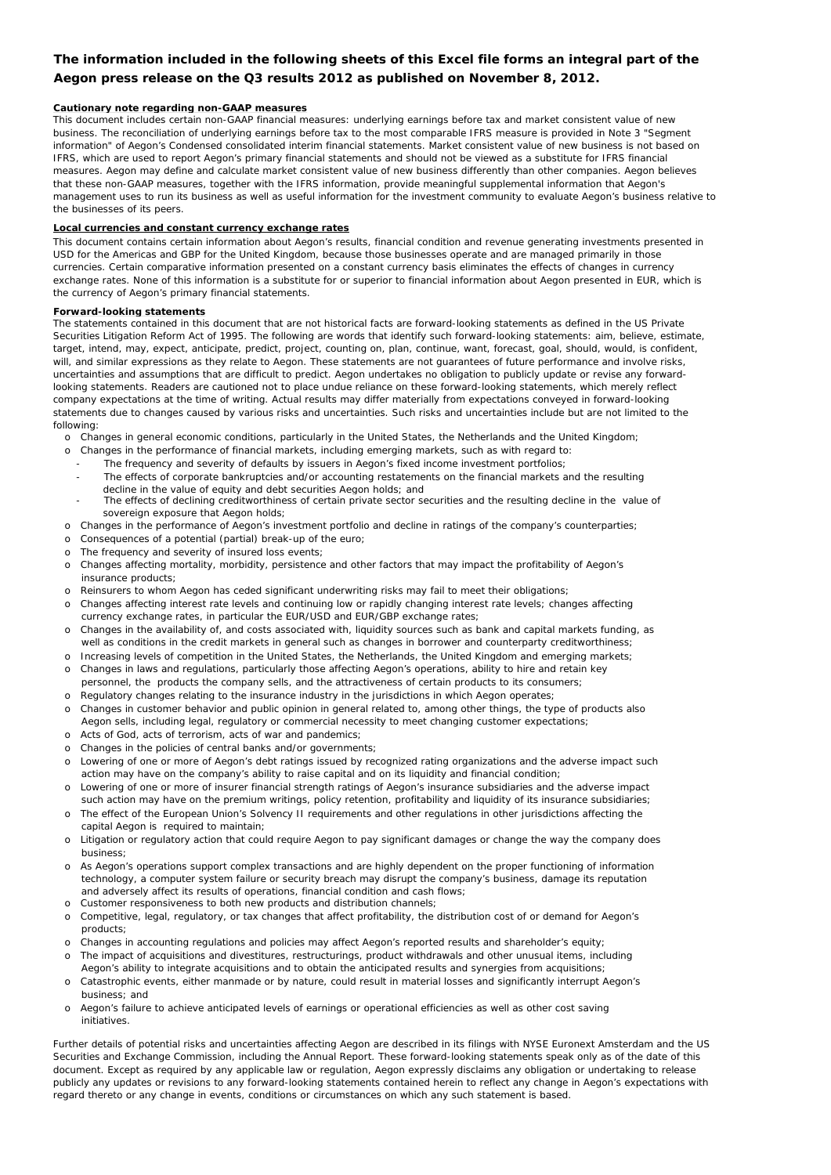### **The information included in the following sheets of this Excel file forms an integral part of the Aegon press release on the Q3 results 2012 as published on November 8, 2012.**

#### **Cautionary note regarding non-GAAP measures**

This document includes certain non-GAAP financial measures: underlying earnings before tax and market consistent value of new business. The reconciliation of underlying earnings before tax to the most comparable IFRS measure is provided in Note 3 "Segment information" of Aegon's Condensed consolidated interim financial statements. Market consistent value of new business is not based on IFRS, which are used to report Aegon's primary financial statements and should not be viewed as a substitute for IFRS financial measures. Aegon may define and calculate market consistent value of new business differently than other companies. Aegon believes that these non-GAAP measures, together with the IFRS information, provide meaningful supplemental information that Aegon's management uses to run its business as well as useful information for the investment community to evaluate Aegon's business relative to the businesses of its peers.

#### **Local currencies and constant currency exchange rates**

This document contains certain information about Aegon's results, financial condition and revenue generating investments presented in USD for the Americas and GBP for the United Kingdom, because those businesses operate and are managed primarily in those currencies. Certain comparative information presented on a constant currency basis eliminates the effects of changes in currency exchange rates. None of this information is a substitute for or superior to financial information about Aegon presented in EUR, which is the currency of Aegon's primary financial statements.

#### **Forward-looking statements**

The statements contained in this document that are not historical facts are forward-looking statements as defined in the US Private Securities Litigation Reform Act of 1995. The following are words that identify such forward-looking statements: aim, believe, estimate, target, intend, may, expect, anticipate, predict, project, counting on, plan, continue, want, forecast, goal, should, would, is confident, will, and similar expressions as they relate to Aegon. These statements are not guarantees of future performance and involve risks, uncertainties and assumptions that are difficult to predict. Aegon undertakes no obligation to publicly update or revise any forwardlooking statements. Readers are cautioned not to place undue reliance on these forward-looking statements, which merely reflect company expectations at the time of writing. Actual results may differ materially from expectations conveyed in forward-looking statements due to changes caused by various risks and uncertainties. Such risks and uncertainties include but are not limited to the following:

- o Changes in general economic conditions, particularly in the United States, the Netherlands and the United Kingdom;
- o Changes in the performance of financial markets, including emerging markets, such as with regard to:
	- The frequency and severity of defaults by issuers in Aegon's fixed income investment portfolios:
	- The effects of corporate bankruptcies and/or accounting restatements on the financial markets and the resulting decline in the value of equity and debt securities Aegon holds; and
- The effects of declining creditworthiness of certain private sector securities and the resulting decline in the value of sovereign exposure that Aegon holds;
- o Changes in the performance of Aegon's investment portfolio and decline in ratings of the company's counterparties;
- o Consequences of a potential (partial) break-up of the euro;
- o The frequency and severity of insured loss events;
- o Changes affecting mortality, morbidity, persistence and other factors that may impact the profitability of Aegon's insurance products;
- o Reinsurers to whom Aegon has ceded significant underwriting risks may fail to meet their obligations;
- o Changes affecting interest rate levels and continuing low or rapidly changing interest rate levels; changes affecting currency exchange rates, in particular the EUR/USD and EUR/GBP exchange rates;
- o Changes in the availability of, and costs associated with, liquidity sources such as bank and capital markets funding, as well as conditions in the credit markets in general such as changes in borrower and counterparty creditworthiness;
- o Increasing levels of competition in the United States, the Netherlands, the United Kingdom and emerging markets; o Changes in laws and regulations, particularly those affecting Aegon's operations, ability to hire and retain key
- personnel, the products the company sells, and the attractiveness of certain products to its consumers;
- o Regulatory changes relating to the insurance industry in the jurisdictions in which Aegon operates;
- o Changes in customer behavior and public opinion in general related to, among other things, the type of products also Aegon sells, including legal, regulatory or commercial necessity to meet changing customer expectations;
- o Acts of God, acts of terrorism, acts of war and pandemics;
- o Changes in the policies of central banks and/or governments;
- o Lowering of one or more of Aegon's debt ratings issued by recognized rating organizations and the adverse impact such action may have on the company's ability to raise capital and on its liquidity and financial condition;
- o Lowering of one or more of insurer financial strength ratings of Aegon's insurance subsidiaries and the adverse impact such action may have on the premium writings, policy retention, profitability and liquidity of its insurance subsidiaries;
- o The effect of the European Union's Solvency II requirements and other regulations in other jurisdictions affecting the capital Aegon is required to maintain;
- o Litigation or regulatory action that could require Aegon to pay significant damages or change the way the company does business;
- o As Aegon's operations support complex transactions and are highly dependent on the proper functioning of information technology, a computer system failure or security breach may disrupt the company's business, damage its reputation and adversely affect its results of operations, financial condition and cash flows;
- o Customer responsiveness to both new products and distribution channels;
- Competitive, legal, regulatory, or tax changes that affect profitability, the distribution cost of or demand for Aegon's products;
- o Changes in accounting regulations and policies may affect Aegon's reported results and shareholder's equity;
- o The impact of acquisitions and divestitures, restructurings, product withdrawals and other unusual items, including Aegon's ability to integrate acquisitions and to obtain the anticipated results and synergies from acquisitions;
- Catastrophic events, either manmade or by nature, could result in material losses and significantly interrupt Aegon's business; and
- o Aegon's failure to achieve anticipated levels of earnings or operational efficiencies as well as other cost saving initiatives.

Further details of potential risks and uncertainties affecting Aegon are described in its filings with NYSE Euronext Amsterdam and the US Securities and Exchange Commission, including the Annual Report. These forward-looking statements speak only as of the date of this document. Except as required by any applicable law or regulation, Aegon expressly disclaims any obligation or undertaking to release publicly any updates or revisions to any forward-looking statements contained herein to reflect any change in Aegon's expectations with regard thereto or any change in events, conditions or circumstances on which any such statement is based.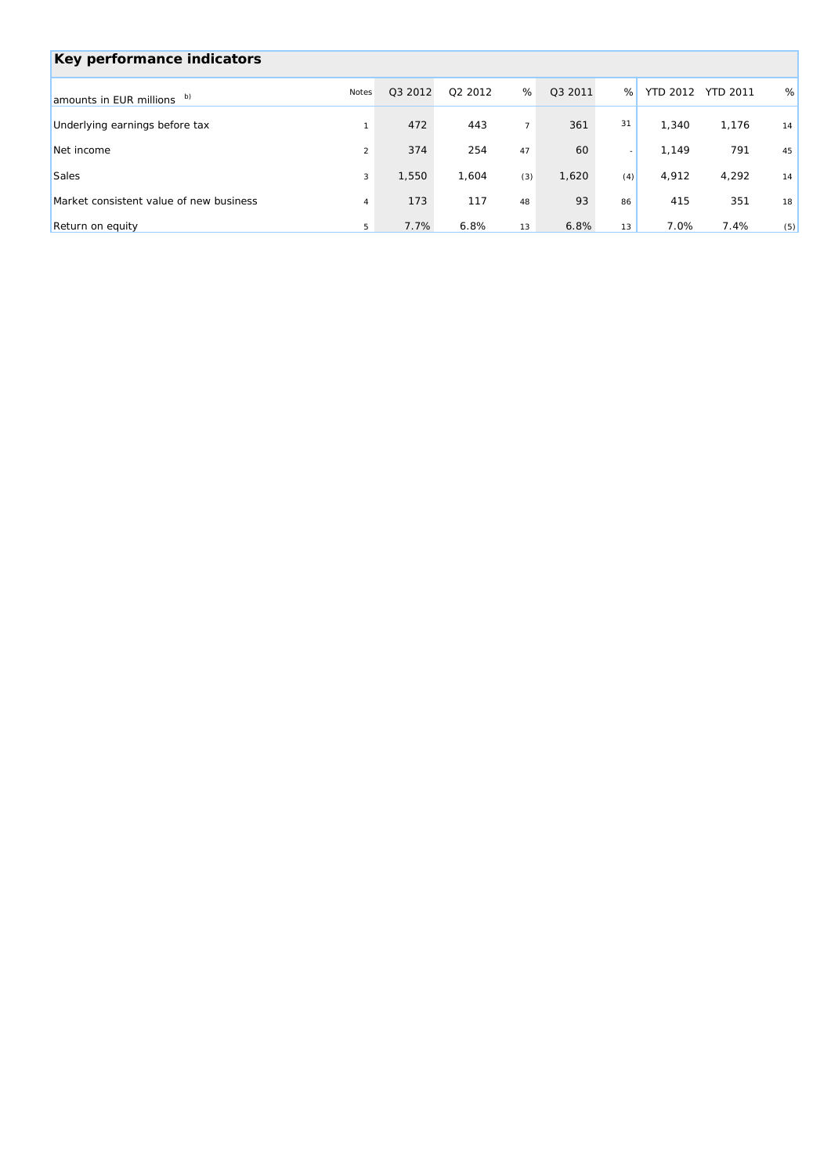| Key performance indicators              |                |         |         |                |         |                          |                 |                 |     |
|-----------------------------------------|----------------|---------|---------|----------------|---------|--------------------------|-----------------|-----------------|-----|
| amounts in EUR millions b)              | <b>Notes</b>   | Q3 2012 | Q2 2012 | %              | Q3 2011 | %                        | <b>YTD 2012</b> | <b>YTD 2011</b> | %   |
| Underlying earnings before tax          |                | 472     | 443     | $\overline{7}$ | 361     | 31                       | 1,340           | 1,176           | 14  |
| Net income                              | $\overline{2}$ | 374     | 254     | 47             | 60      | $\overline{\phantom{a}}$ | 1,149           | 791             | 45  |
| Sales                                   | 3              | 1,550   | 1.604   | (3)            | 1,620   | (4)                      | 4,912           | 4,292           | 14  |
| Market consistent value of new business | $\overline{4}$ | 173     | 117     | 48             | 93      | 86                       | 415             | 351             | 18  |
| Return on equity                        | 5              | 7.7%    | 6.8%    | 13             | 6.8%    | 13                       | 7.0%            | 7.4%            | (5) |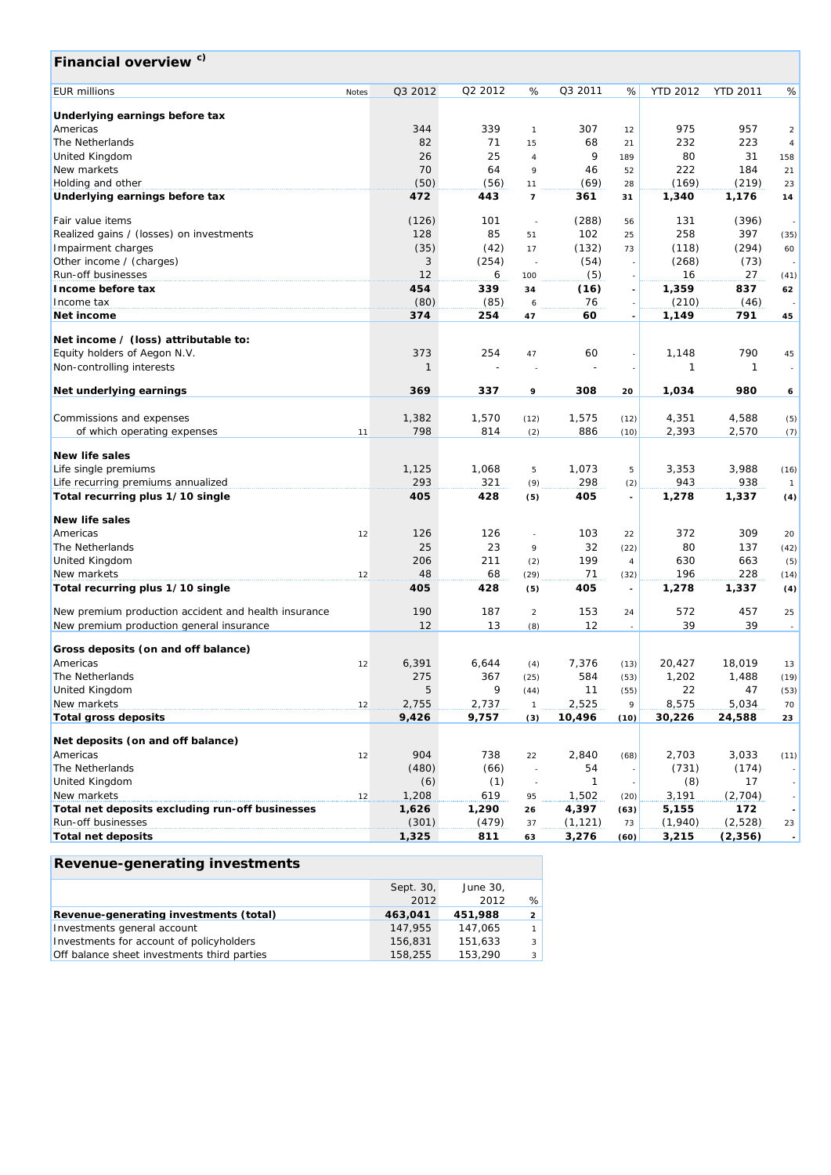| Financial overview <sup>c)</sup>                     |       |              |           |                          |          |                          |                 |                 |                |
|------------------------------------------------------|-------|--------------|-----------|--------------------------|----------|--------------------------|-----------------|-----------------|----------------|
| <b>EUR</b> millions                                  | Notes | Q3 2012      | Q2 2012   | %                        | Q3 2011  | %                        | <b>YTD 2012</b> | <b>YTD 2011</b> | %              |
|                                                      |       |              |           |                          |          |                          |                 |                 |                |
| Underlying earnings before tax                       |       |              |           |                          |          |                          |                 |                 |                |
| Americas                                             |       | 344<br>82    | 339<br>71 | $\mathbf{1}$             | 307      | 12                       | 975             | 957             | $\overline{2}$ |
| The Netherlands                                      |       |              |           | 15                       | 68<br>9  | 21                       | 232             | 223             | $\overline{4}$ |
| United Kingdom                                       |       | 26           | 25        | $\overline{4}$           |          | 189                      | 80              | 31              | 158            |
| New markets                                          |       | 70           | 64        | 9                        | 46       | 52                       | 222             | 184             | 21             |
| Holding and other                                    |       | (50)         | (56)      | 11                       | (69)     | 28                       | (169)           | (219)           | 23             |
| Underlying earnings before tax                       |       | 472          | 443       | $\overline{z}$           | 361      | 31                       | 1,340           | 1,176           | 14             |
| Fair value items                                     |       | (126)        | 101       | $\sim$                   | (288)    | 56                       | 131             | (396)           |                |
| Realized gains / (losses) on investments             |       | 128          | 85        | 51                       | 102      | 25                       | 258             | 397             | (35)           |
| Impairment charges                                   |       | (35)         | (42)      | 17                       | (132)    | 73                       | (118)           | (294)           | 60             |
| Other income / (charges)                             |       | 3            | (254)     | $\overline{a}$           | (54)     | $\overline{\phantom{a}}$ | (268)           | (73)            |                |
| Run-off businesses                                   |       | 12           | 6         | 100                      | (5)      |                          | 16              | 27              | (41)           |
| Income before tax                                    |       | 454          | 339       | 34                       | (16)     |                          | 1,359           | 837             | 62             |
| Income tax                                           |       | (80)         | (85)      | 6                        | 76       | $\overline{a}$           | (210)           | (46)            |                |
| Net income                                           |       | 374          | 254       | 47                       | 60       | $\overline{\phantom{a}}$ | 1,149           | 791             | 45             |
| Net income / (loss) attributable to:                 |       |              |           |                          |          |                          |                 |                 |                |
| Equity holders of Aegon N.V.                         |       | 373          | 254       | 47                       | 60       |                          | 1,148           | 790             |                |
|                                                      |       | $\mathbf{1}$ |           |                          |          |                          | 1               | 1               | 45             |
| Non-controlling interests                            |       |              |           |                          |          |                          |                 |                 |                |
| Net underlying earnings                              |       | 369          | 337       | 9                        | 308      | 20                       | 1,034           | 980             | 6              |
|                                                      |       |              |           |                          |          |                          |                 |                 |                |
| Commissions and expenses                             |       | 1,382        | 1,570     | (12)                     | 1,575    | (12)                     | 4,351           | 4,588           | (5)            |
| of which operating expenses                          | 11    | 798          | 814       | (2)                      | 886      | (10)                     | 2,393           | 2,570           | (7)            |
| New life sales                                       |       |              |           |                          |          |                          |                 |                 |                |
| Life single premiums                                 |       | 1,125        | 1,068     | 5                        | 1,073    | 5                        | 3,353           | 3,988           | (16)           |
| Life recurring premiums annualized                   |       | 293          | 321       | (9)                      | 298      | (2)                      | 943             | 938             | $\mathbf{1}$   |
| Total recurring plus 1/10 single                     |       | 405          | 428       | (5)                      | 405      | $\overline{\phantom{a}}$ | 1,278           | 1,337           | (4)            |
|                                                      |       |              |           |                          |          |                          |                 |                 |                |
| <b>New life sales</b>                                |       |              |           |                          |          |                          |                 |                 |                |
| Americas                                             | 12    | 126          | 126       | ٠                        | 103      | 22                       | 372             | 309             | 20             |
| The Netherlands                                      |       | 25           | 23        | 9                        | 32       | (22)                     | 80              | 137             | (42)           |
| United Kingdom                                       |       | 206          | 211       | (2)                      | 199      | $\overline{4}$           | 630             | 663             | (5)            |
| New markets                                          | 12    | 48           | 68        | (29)                     | 71       | (32)                     | 196             | 228             | (14)           |
| Total recurring plus 1/10 single                     |       | 405          | 428       | (5)                      | 405      | $\overline{\phantom{a}}$ | 1,278           | 1,337           | (4)            |
| New premium production accident and health insurance |       | 190          | 187       | $\overline{2}$           | 153      | 24                       | 572             | 457             | 25             |
| New premium production general insurance             |       | 12           | 13        | (8)                      | 12       |                          | 39              | 39              |                |
|                                                      |       |              |           |                          |          |                          |                 |                 |                |
| Gross deposits (on and off balance)                  |       |              |           |                          |          |                          |                 |                 |                |
| Americas                                             | 12    | 6,391        | 6,644     | (4)                      | 7,376    | (13)                     | 20,427          | 18,019          | 13             |
| The Netherlands                                      |       | 275          | 367       | (25)                     | 584      | (53)                     | 1,202           | 1,488           | (19)           |
| United Kingdom                                       |       | 5            | 9         | (44)                     | 11       | (55)                     | 22              | 47              | (53)           |
| New markets                                          | 12    | 2,755        | 2,737     | $\mathcal{I}$            | 2,525    | 9                        | 8,575           | 5,034           | 70             |
| <b>Total gross deposits</b>                          |       | 9,426        | 9,757     | (3)                      | 10,496   | (10)                     | 30,226          | 24,588          | 23             |
| Net deposits (on and off balance)                    |       |              |           |                          |          |                          |                 |                 |                |
| Americas                                             | 12    | 904          | 738       | 22                       | 2,840    | (68)                     | 2,703           | 3,033           | (11)           |
| The Netherlands                                      |       | (480)        | (66)      | $\sim$                   | 54       |                          | (731)           | (174)           |                |
| United Kingdom                                       |       | (6)          | (1)       | $\overline{\phantom{a}}$ | 1        |                          | (8)             | 17              |                |
| New markets                                          | 12    | 1,208        | 619       | 95                       | 1,502    | (20)                     | 3,191           | (2,704)         |                |
| Total net deposits excluding run-off businesses      |       | 1,626        | 1,290     | 26                       | 4,397    | (63)                     | 5,155           | 172             |                |
| Run-off businesses                                   |       | (301)        | (479)     | 37                       | (1, 121) | 73                       | (1,940)         | (2,528)         | 23             |
| <b>Total net deposits</b>                            |       | 1,325        | 811       | 63                       | 3,276    | (60)                     | 3,215           | (2, 356)        |                |
|                                                      |       |              |           |                          |          |                          |                 |                 |                |

|                                             | Sept. 30, | June 30, |                |
|---------------------------------------------|-----------|----------|----------------|
|                                             | 2012      | 2012     | $\%$           |
| Revenue-generating investments (total)      | 463,041   | 451,988  | $\overline{2}$ |
| Investments general account                 | 147.955   | 147,065  | $\mathcal{I}$  |
| Investments for account of policyholders    | 156,831   | 151.633  | $\cdot$ 3      |
| Off balance sheet investments third parties | 158,255   | 153,290  | $\mathcal{Z}$  |
|                                             |           |          |                |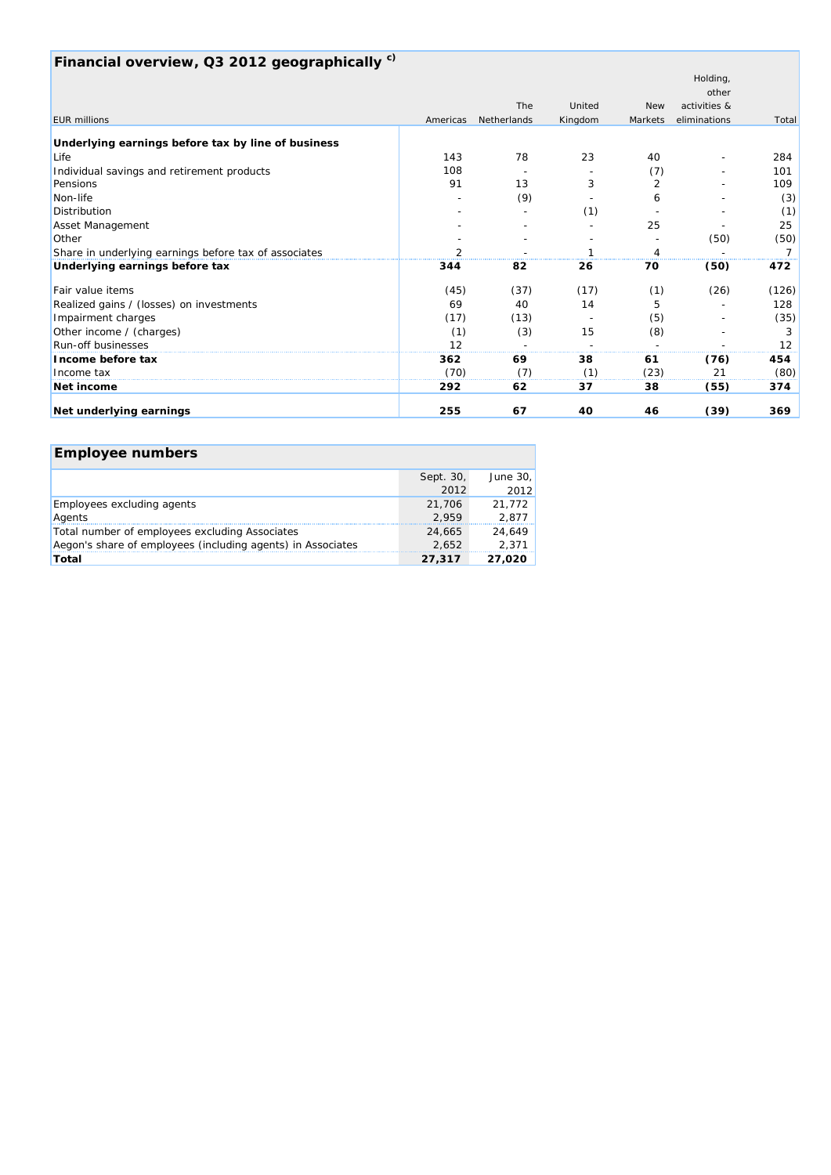| Financial overview, Q3 2012 geographically <sup>c)</sup> |                |             |         |            |              |       |
|----------------------------------------------------------|----------------|-------------|---------|------------|--------------|-------|
|                                                          |                |             |         |            | Holding,     |       |
|                                                          |                |             |         |            | other        |       |
|                                                          |                | The         | United  | <b>New</b> | activities & |       |
| <b>EUR</b> millions                                      | Americas       | Netherlands | Kingdom | Markets    | eliminations | Total |
| Underlying earnings before tax by line of business       |                |             |         |            |              |       |
| Life                                                     | 143            | 78          | 23      | 40         |              | 284   |
| Individual savings and retirement products               | 108            |             |         | (7)        |              | 101   |
| Pensions                                                 | 91             | 13          | 3       | 2          |              | 109   |
| Non-life                                                 |                | (9)         |         | 6          |              | (3)   |
| <b>Distribution</b>                                      |                |             | (1)     |            |              | (1)   |
| Asset Management                                         |                |             |         | 25         |              | 25    |
| Other                                                    |                |             |         |            | (50)         | (50)  |
| Share in underlying earnings before tax of associates    | $\overline{2}$ |             |         | 4          |              |       |
| Underlying earnings before tax                           | 344            | 82          | 26      | 70         | (50)         | 472   |
| Fair value items                                         | (45)           | (37)        | (17)    | (1)        | (26)         | (126) |
| Realized gains / (losses) on investments                 | 69             | 40          | 14      | 5          |              | 128   |
| Impairment charges                                       | (17)           | (13)        |         | (5)        |              | (35)  |
| Other income / (charges)                                 | (1)            | (3)         | 15      | (8)        |              | 3     |
| Run-off businesses                                       | 12             |             |         |            |              | 12    |
| Income before tax                                        | 362            | 69          | 38      | 61         | (76)         | 454   |
| Income tax                                               | (70)           | (7)         | (1)     | (23)       | 21           | (80)  |
| Net income                                               | 292            | 62          | 37      | 38         | (55)         | 374   |
| Net underlying earnings                                  | 255            | 67          | 40      | 46         | (39)         | 369   |

| <b>Employee numbers</b>                                                                                       |                   |                  |
|---------------------------------------------------------------------------------------------------------------|-------------------|------------------|
|                                                                                                               | Sept. 30,<br>2012 | June 30,<br>2012 |
| Employees excluding agents<br>Agents                                                                          | 21,706<br>2.959   | 21.772<br>2.877  |
| Total number of employees excluding Associates<br>Aegon's share of employees (including agents) in Associates | 24,665<br>2.652   | 24,649<br>2.371  |
| <b>Total</b>                                                                                                  | 27,317            | 27,020           |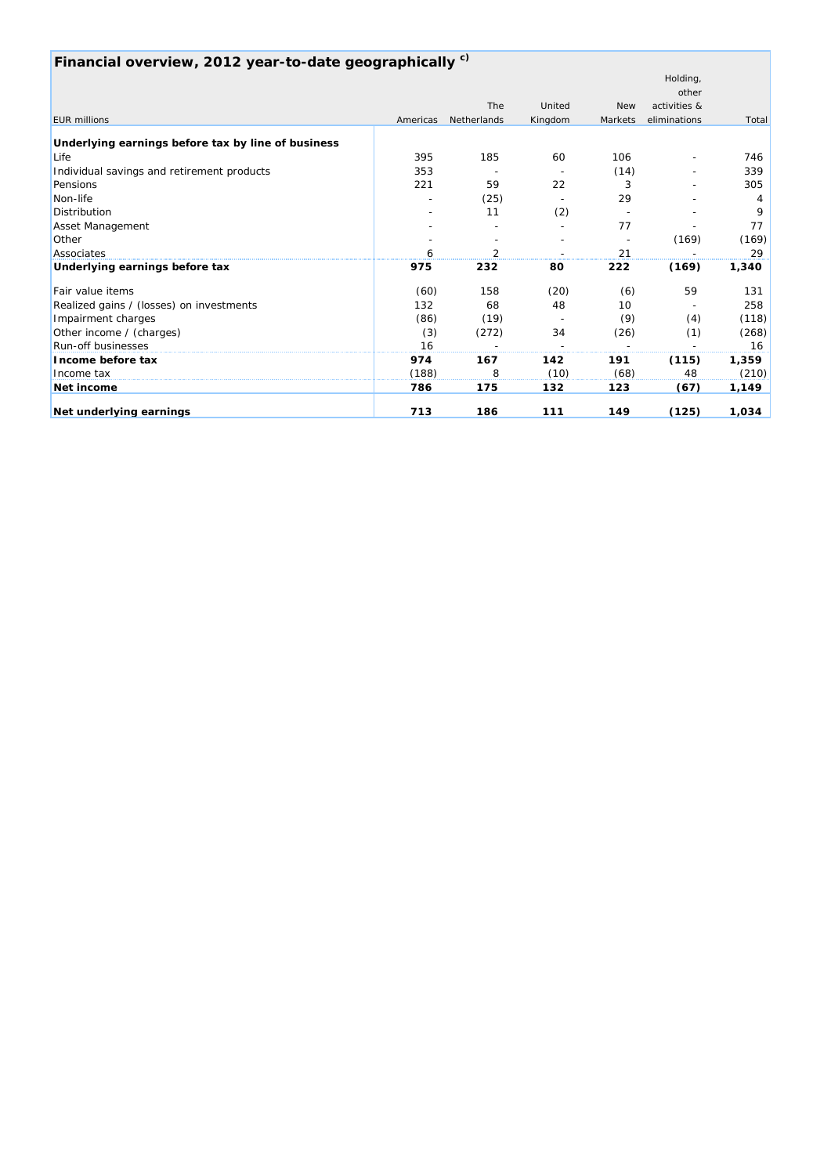| Financial overview, 2012 year-to-date geographically <sup>c)</sup> |          |                |         |            |              |       |
|--------------------------------------------------------------------|----------|----------------|---------|------------|--------------|-------|
|                                                                    |          |                |         |            | Holding,     |       |
|                                                                    |          |                |         |            | other        |       |
|                                                                    |          | The            | United  | <b>New</b> | activities & |       |
| <b>EUR</b> millions                                                | Americas | Netherlands    | Kingdom | Markets    | eliminations | Total |
| Underlying earnings before tax by line of business                 |          |                |         |            |              |       |
| Life                                                               | 395      | 185            | 60      | 106        |              | 746   |
| Individual savings and retirement products                         | 353      |                |         | (14)       |              | 339   |
| Pensions                                                           | 221      | 59             | 22      | 3          |              | 305   |
| Non-life                                                           |          | (25)           |         | 29         |              | 4     |
| Distribution                                                       |          | 11             | (2)     |            |              | 9     |
| Asset Management                                                   |          |                |         | 77         |              | 77    |
| Other                                                              |          |                |         |            | (169)        | (169) |
| Associates                                                         | 6        | $\overline{2}$ |         | 21         |              | 29    |
| Underlying earnings before tax                                     | 975      | 232            | 80      | 222        | (169)        | 1,340 |
| Fair value items                                                   | (60)     | 158            | (20)    | (6)        | 59           | 131   |
| Realized gains / (losses) on investments                           | 132      | 68             | 48      | 10         |              | 258   |
| Impairment charges                                                 | (86)     | (19)           |         | (9)        | (4)          | (118) |
| Other income / (charges)                                           | (3)      | (272)          | 34      | (26)       | (1)          | (268) |
| Run-off businesses                                                 | 16       |                |         |            |              | 16    |
| Income before tax                                                  | 974      | 167            | 142     | 191        | (115)        | 1,359 |
| Income tax                                                         | (188)    | 8              | (10)    | (68)       | 48           | (210) |
| Net income                                                         | 786      | 175            | 132     | 123        | (67)         | 1,149 |
| Net underlying earnings                                            | 713      | 186            | 111     | 149        | (125)        | 1,034 |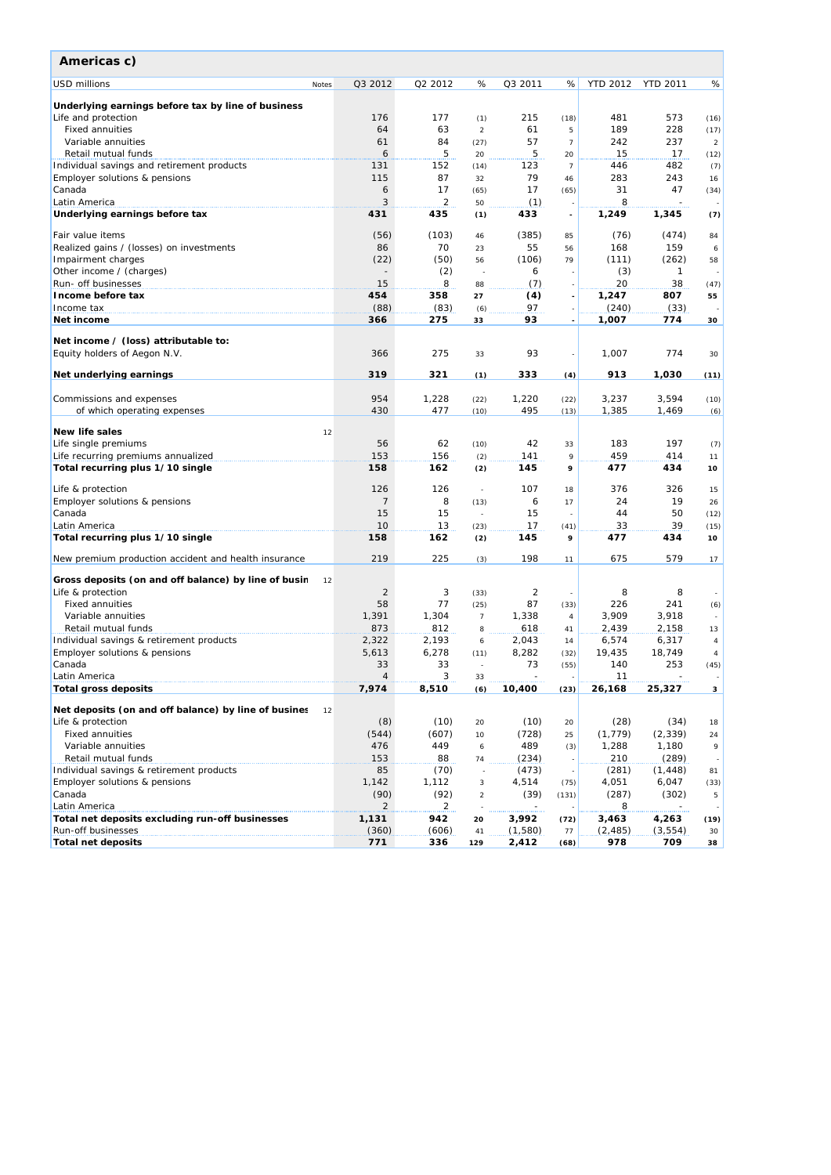| Americas c)                                                |                |              |                          |                  |                          |                 |                 |                |
|------------------------------------------------------------|----------------|--------------|--------------------------|------------------|--------------------------|-----------------|-----------------|----------------|
| <b>USD millions</b><br>Notes                               | Q3 2012        | Q2 2012      | %                        | Q3 2011          | %                        | <b>YTD 2012</b> | <b>YTD 2011</b> | %              |
| Underlying earnings before tax by line of business         |                |              |                          |                  |                          |                 |                 |                |
| Life and protection                                        | 176            | 177          | (1)                      | 215              | (18)                     | 481             | 573             | (16)           |
| <b>Fixed annuities</b>                                     | 64             | 63           | $\overline{a}$           | 61               | 5                        | 189             | 228             | (17)           |
| Variable annuities                                         | 61             | 84           | (27)                     | 57               | $\overline{7}$           | 242             | 237             | $\sqrt{2}$     |
| Retail mutual funds                                        | 6              | 5            | 20                       | 5                | 20                       | 15              | 17              | (12)           |
| Individual savings and retirement products                 | 131            | 152          | (14)                     | 123              | $\overline{7}$           | 446             | 482             | (7)            |
| Employer solutions & pensions                              | 115            | 87           | 32                       | 79               | 46                       | 283             | 243             | 16             |
| Canada                                                     | 6              | 17           | (65)                     | 17               | (65)                     | 31              | 47              | (34)           |
| Latin America                                              | 3              | 2            | 50                       | (1)              |                          | 8               | $\sim$          |                |
| Underlying earnings before tax                             | 431            | 435          | (1)                      | 433              | $\overline{\phantom{a}}$ | 1,249           | 1,345           | (7)            |
| Fair value items                                           | (56)           | (103)        | 46                       | (385)            | 85                       | (76)            | (474)           | 84             |
| Realized gains / (losses) on investments                   | 86             | 70           | 23                       | 55               | 56                       | 168             | 159             | 6              |
| Impairment charges                                         | (22)           | (50)         | 56                       | (106)            | 79                       | (111)           | (262)           | 58             |
| Other income / (charges)                                   |                | (2)          |                          | 6                |                          | (3)             | 1               |                |
| Run- off businesses<br>Income before tax                   | 15<br>454      | 8<br>358     | 88<br>27                 | (7)<br>(4)       |                          | 20<br>1,247     | 38<br>807       | (47)           |
| Income tax                                                 | (88)           | (83)         | (6)                      | 97               |                          | (240)           | (33)            | 55             |
| Net income                                                 | 366            | 275          | 33                       | 93               |                          | 1,007           | 774             | 30             |
|                                                            |                |              |                          |                  |                          |                 |                 |                |
| Net income / (loss) attributable to:                       |                |              |                          |                  |                          |                 |                 |                |
| Equity holders of Aegon N.V.                               | 366            | 275          | 33                       | 93               |                          | 1,007           | 774             | 30             |
| Net underlying earnings                                    | 319            | 321          | (1)                      | 333              | (4)                      | 913             | 1.030           | (11)           |
| Commissions and expenses                                   | 954            | 1,228        |                          | 1,220            |                          | 3,237           | 3,594           |                |
| of which operating expenses                                | 430            | 477          | (22)<br>(10)             | 495              | (22)<br>(13)             | 1,385           | 1,469           | (10)<br>(6)    |
|                                                            |                |              |                          |                  |                          |                 |                 |                |
| <b>New life sales</b><br>12                                |                |              |                          |                  |                          |                 |                 |                |
| Life single premiums                                       | 56             | 62           | (10)                     | 42               | 33                       | 183             | 197             | (7)            |
| Life recurring premiums annualized                         | 153            | 156          | (2)                      | 141              | 9                        | 459             | 414             | 11             |
| Total recurring plus 1/10 single                           | 158            | 162          | (2)                      | 145              | 9                        | 477             | 434             | 10             |
| Life & protection                                          | 126            | 126          |                          | 107              | 18                       | 376             | 326             | 15             |
| Employer solutions & pensions                              | 7              | 8            | (13)                     | 6                | 17                       | 24              | 19              | 26             |
| Canada                                                     | 15             | 15           | $\overline{\phantom{a}}$ | 15               |                          | 44              | 50              | (12)           |
| Latin America                                              | 10             | 13           | (23)                     | 17               | (41)                     | 33              | 39              | (15)           |
| Total recurring plus 1/10 single                           | 158            | 162          | (2)                      | 145              | 9                        | 477             | 434             | 10             |
| New premium production accident and health insurance       | 219            | 225          | (3)                      | 198              | 11                       | 675             | 579             | 17             |
| Gross deposits (on and off balance) by line of busin<br>12 |                |              |                          |                  |                          |                 |                 |                |
| Life & protection                                          | 2              | 3            | (33)                     | 2                |                          | 8               | 8               |                |
| <b>Fixed annuities</b>                                     | 58             | 77           | (25)                     | 87               | (33)                     | 226             | 241             | (6)            |
| Variable annuities                                         | 1,391          | 1,304        | $\overline{7}$           | 1,338            | $\overline{4}$           | 3,909           | 3,918           |                |
| Retail mutual funds                                        | 873            | 812          | 8                        | 618              | 41                       | 2,439           | 2,158           | 13             |
| Individual savings & retirement products                   | 2,322          | 2,193        | 6                        | 2,043            | 14                       | 6,574           | 6,317           | $\overline{4}$ |
| Employer solutions & pensions                              | 5,613          | 6,278        | (11)                     | 8,282            | (32)                     | 19,435          | 18,749          | $\overline{4}$ |
| Canada                                                     | 33             | 33           |                          | 73               | (55)                     | 140             | 253             | (45)           |
| Latin America                                              | 4              | 3            | 33                       |                  |                          | 11              |                 |                |
| <b>Total gross deposits</b>                                | 7,974          | 8,510        | (6)                      | 10,400           | (23)                     | 26,168          | 25,327          | 3              |
| Net deposits (on and off balance) by line of busines<br>12 |                |              |                          |                  |                          |                 |                 |                |
| Life & protection                                          | (8)            | (10)         | 20                       | (10)             | 20                       | (28)            | (34)            | 18             |
| <b>Fixed annuities</b>                                     | (544)          | (607)        | 10                       | (728)            | 25                       | (1, 779)        | (2, 339)        | 24             |
| Variable annuities                                         | 476            | 449          | 6                        | 489              | (3)                      | 1,288           | 1,180           | 9              |
| Retail mutual funds                                        | 153            | 88           | 74                       | (234)            |                          | 210             | (289)           |                |
| Individual savings & retirement products                   | 85             | (70)         |                          | (473)            |                          | (281)           | (1, 448)        | 81             |
| Employer solutions & pensions                              | 1,142          | 1,112        | $\sqrt{3}$               | 4,514            | (75)                     | 4,051           | 6,047           | (33)           |
| Canada                                                     | (90)           | (92)         | $\sqrt{2}$               | (39)             | (131)                    | (287)           | (302)           | 5              |
| Latin America                                              | $\overline{2}$ | 2            |                          |                  |                          | 8               |                 |                |
| Total net deposits excluding run-off businesses            | 1,131          | 942          | 20                       | 3,992            | (72)                     | 3,463           | 4,263           | (19)           |
| Run-off businesses<br><b>Total net deposits</b>            | (360)<br>771   | (606)<br>336 | 41                       | (1,580)<br>2,412 | 77                       | (2, 485)<br>978 | (3, 554)<br>709 | 30             |
|                                                            |                |              | 129                      |                  | (68)                     |                 |                 | 38             |

 $\overline{\phantom{0}}$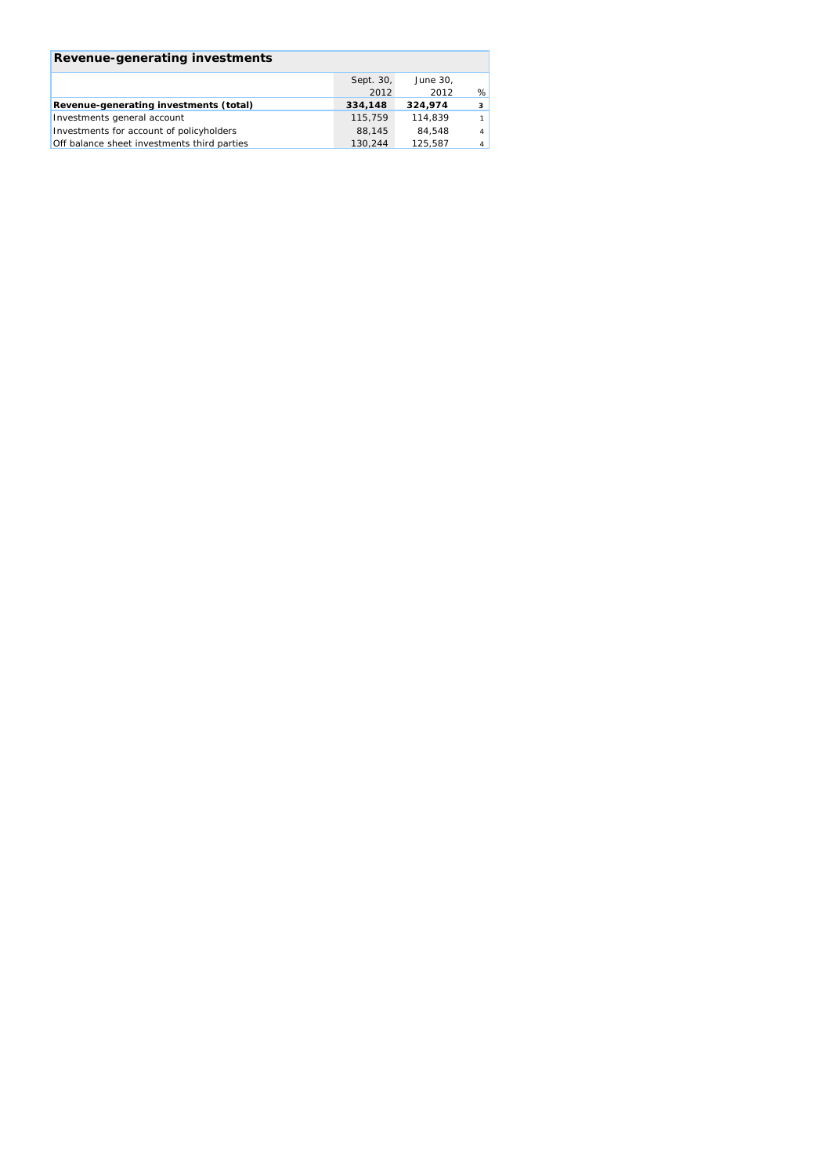| Revenue-generating investments              |           |          |   |
|---------------------------------------------|-----------|----------|---|
|                                             | Sept. 30, | June 30, |   |
|                                             | 2012      | 2012     | % |
| Revenue-generating investments (total)      | 334,148   | 324,974  | 3 |
| Investments general account                 | 115,759   | 114.839  |   |
| Investments for account of policyholders    | 88.145    | 84.548   | 4 |
| Off balance sheet investments third parties | 130.244   | 125.587  |   |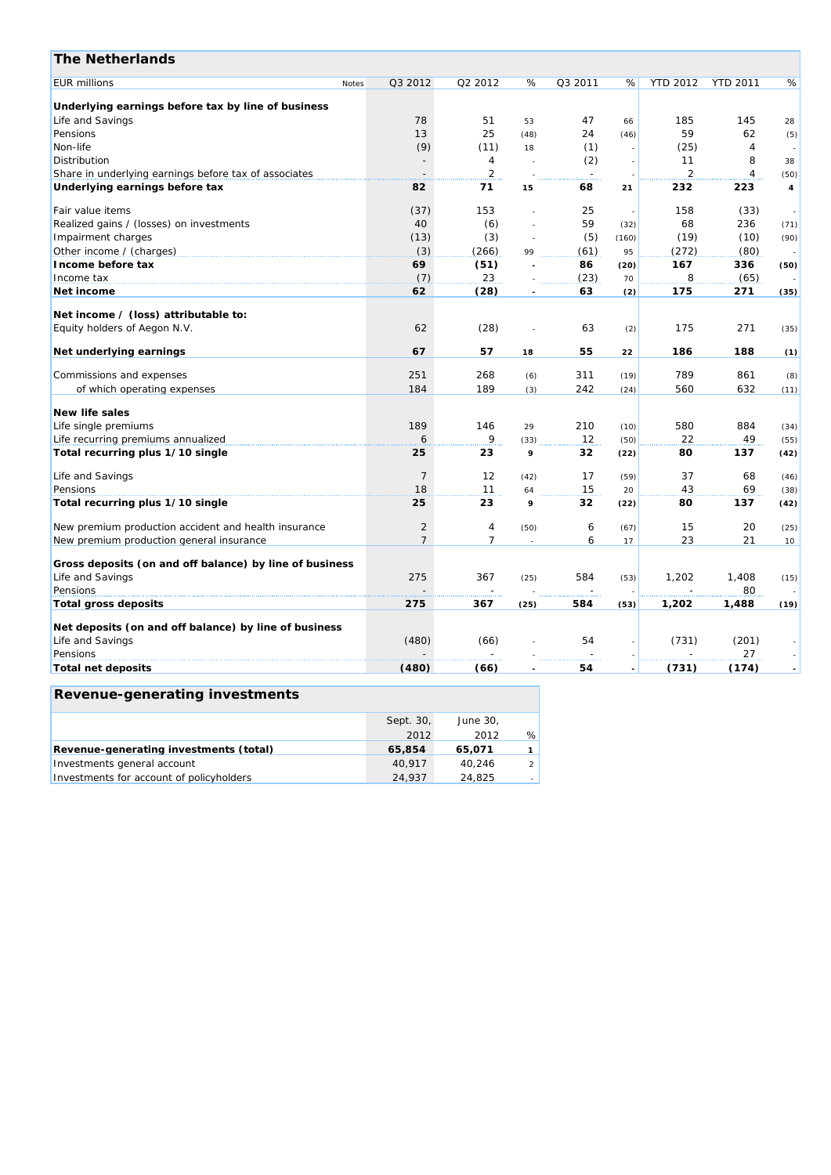| <b>The Netherlands</b>                                  |       |                |                |                          |                |       |                 |                 |                  |
|---------------------------------------------------------|-------|----------------|----------------|--------------------------|----------------|-------|-----------------|-----------------|------------------|
| <b>EUR</b> millions                                     | Notes | Q3 2012        | Q2 2012        | %                        | Q3 2011        | %     | <b>YTD 2012</b> | <b>YTD 2011</b> | %                |
| Underlying earnings before tax by line of business      |       |                |                |                          |                |       |                 |                 |                  |
| Life and Savings                                        |       | 78             | 51             | 53                       | 47             | 66    | 185             | 145             | 28               |
| Pensions                                                |       | 13             | 25             | (48)                     | 24             | (46)  | 59              | 62              | (5)              |
| Non-life                                                |       | (9)            | (11)           | 18                       | (1)            |       | (25)            | $\overline{4}$  |                  |
| Distribution                                            |       |                | 4              |                          | (2)            |       | 11              | 8               | 38               |
| Share in underlying earnings before tax of associates   |       |                | $\overline{2}$ |                          | $\overline{a}$ |       | $\overline{2}$  | $\overline{4}$  | (50)             |
| Underlying earnings before tax                          |       | 82             | 71             | 15                       | 68             | 21    | 232             | 223             | $\boldsymbol{4}$ |
| Fair value items                                        |       | (37)           | 153            |                          | 25             |       | 158             | (33)            |                  |
| Realized gains / (losses) on investments                |       | 40             | (6)            |                          | 59             | (32)  | 68              | 236             | (71)             |
| Impairment charges                                      |       | (13)           | (3)            |                          | (5)            | (160) | (19)            | (10)            | (90)             |
| Other income / (charges)                                |       | (3)            | (266)          | 99                       | (61)           | 95    | (272)           | (80)            |                  |
| Income before tax                                       |       | 69             | (51)           |                          | 86             | (20)  | 167             | 336             | (50)             |
| Income tax                                              |       | (7)            | 23             |                          | (23)           | 70    | 8               | (65)            |                  |
| Net income                                              |       | 62             | (28)           | $\overline{\phantom{a}}$ | 63             | (2)   | 175             | 271             | (35)             |
| Net income / (loss) attributable to:                    |       |                |                |                          |                |       |                 |                 |                  |
| Equity holders of Aegon N.V.                            |       | 62             | (28)           | $\overline{\phantom{a}}$ | 63             | (2)   | 175             | 271             | (35)             |
| Net underlying earnings                                 |       | 67             | 57             | 18                       | 55             | 22    | 186             | 188             | (1)              |
| Commissions and expenses                                |       | 251            | 268            | (6)                      | 311            | (19)  | 789             | 861             | (8)              |
| of which operating expenses                             |       | 184            | 189            | (3)                      | 242            | (24)  | 560             | 632             | (11)             |
| <b>New life sales</b>                                   |       |                |                |                          |                |       |                 |                 |                  |
| Life single premiums                                    |       | 189            | 146            | 29                       | 210            | (10)  | 580             | 884             | (34)             |
| Life recurring premiums annualized                      |       | 6              | 9              | (33)                     | 12             | (50)  | 22              | 49              | (55)             |
| Total recurring plus 1/10 single                        |       | 25             | 23             | 9                        | 32             | (22)  | 80              | 137             | (42)             |
| Life and Savings                                        |       | $\overline{7}$ | 12             | (42)                     | 17             | (59)  | 37              | 68              | (46)             |
| Pensions                                                |       | 18             | 11             | 64                       | 15             | 20    | 43              | 69              | (38)             |
| Total recurring plus 1/10 single                        |       | 25             | 23             | 9                        | 32             | (22)  | 80              | 137             | (42)             |
| New premium production accident and health insurance    |       | $\overline{2}$ | $\overline{4}$ | (50)                     | 6              | (67)  | 15              | 20              | (25)             |
| New premium production general insurance                |       | $\overline{7}$ | $\overline{7}$ |                          | 6              | 17    | 23              | 21              | 10               |
| Gross deposits (on and off balance) by line of business |       |                |                |                          |                |       |                 |                 |                  |
| Life and Savings                                        |       | 275            | 367            | (25)                     | 584            | (53)  | 1,202           | 1,408           | (15)             |
| Pensions                                                |       |                |                |                          |                |       |                 | 80              |                  |
| <b>Total gross deposits</b>                             |       | 275            | 367            | (25)                     | 584            | (53)  | 1,202           | 1,488           | (19)             |
| Net deposits (on and off balance) by line of business   |       |                |                |                          |                |       |                 |                 |                  |
| Life and Savings                                        |       | (480)          | (66)           |                          | 54             |       | (731)           | (201)           |                  |
| Pensions                                                |       |                |                |                          |                |       |                 | 27              |                  |
| <b>Total net deposits</b>                               |       | (480)          | (66)           |                          | 54             |       | (731)           | (174)           |                  |
|                                                         |       |                |                |                          |                |       |                 |                 |                  |

|                                          | Sept. 30, | June 30. |                          |
|------------------------------------------|-----------|----------|--------------------------|
|                                          | 2012      | 2012     | $\%$                     |
| Revenue-generating investments (total)   | 65,854    | 65.071   | 1                        |
| Investments general account              | 40.917    | 40.246   | $\overline{\phantom{a}}$ |
| Investments for account of policyholders | 24.937    | 24.825   |                          |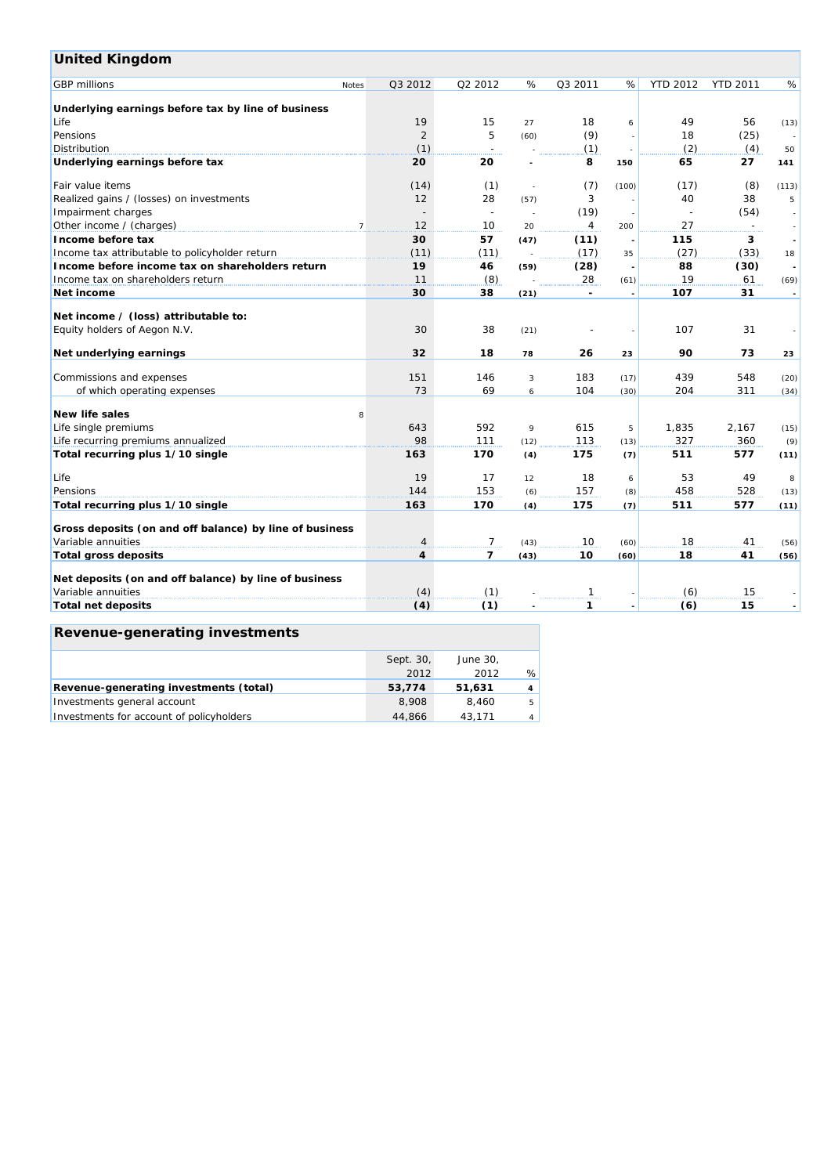| <b>United Kingdom</b>                                   |                |                          |                 |      |                |       |                 |                 |       |
|---------------------------------------------------------|----------------|--------------------------|-----------------|------|----------------|-------|-----------------|-----------------|-------|
| <b>GBP</b> millions                                     | <b>Notes</b>   | Q3 2012                  | Q2 2012         | %    | Q3 2011        | %     | <b>YTD 2012</b> | <b>YTD 2011</b> | %     |
| Underlying earnings before tax by line of business      |                |                          |                 |      |                |       |                 |                 |       |
| Life                                                    |                | 19                       | 15              | 27   | 18             | 6     | 49              | 56              | (13)  |
| Pensions                                                |                | $\overline{2}$           | 5               | (60) | (9)            |       | 18              | (25)            |       |
| <b>Distribution</b>                                     |                | (1)                      | $\sim$          |      | (1)            |       | (2)             | (4)             | 50    |
| Underlying earnings before tax                          |                | 20                       | 20              |      | 8              | 150   | 65              | 27              | 141   |
| Fair value items                                        |                | (14)                     | (1)             | ÷,   | (7)            | (100) | (17)            | (8)             | (113) |
| Realized gains / (losses) on investments                |                | 12                       | 28              | (57) | 3              |       | 40              | 38              | 5     |
| Impairment charges                                      |                | $\overline{\phantom{a}}$ | $\sim$          |      | (19)           |       |                 | (54)            |       |
| Other income / (charges)                                | $\overline{7}$ | 12                       | 10              | 20   | $\overline{4}$ | 200   | 27              |                 |       |
| Income before tax                                       |                | 30                       | 57              | (47) | (11)           |       | 115             | 3               |       |
| Income tax attributable to policyholder return          |                | (11)                     | (11)            |      | (17)           | 35    | (27)            | (33)            | 18    |
| Income before income tax on shareholders return         |                | 19                       | 46              | (59) | (28)           |       | 88              | (30)            |       |
| Income tax on shareholders return                       |                | 11                       | (8)             |      | 28             | (61)  | 19              | 61              | (69)  |
| Net income                                              |                | 30                       | 38              | (21) | $\sim$         |       | 107             | 31              |       |
| Net income / (loss) attributable to:                    |                |                          |                 |      |                |       |                 |                 |       |
| Equity holders of Aegon N.V.                            |                | 30                       | 38              | (21) |                |       | 107             | 31              |       |
| Net underlying earnings                                 |                | 32                       | 18              | 78   | 26             | 23    | 90              | 73              | 23    |
| Commissions and expenses                                |                | 151                      | 146             | 3    | 183            | (17)  | 439             | 548             | (20)  |
| of which operating expenses                             |                | 73                       | 69              | 6    | 104            | (30)  | 204             | 311             | (34)  |
| <b>New life sales</b>                                   | 8              |                          |                 |      |                |       |                 |                 |       |
| Life single premiums                                    |                | 643                      | 592             | 9    | 615            | 5     | 1,835           | 2,167           | (15)  |
| Life recurring premiums annualized                      |                | 98                       | 111             | (12) | 113            | (13)  | 327             | 360             | (9)   |
| Total recurring plus 1/10 single                        |                | 163                      | 170             | (4)  | 175            | (7)   | 511             | 577             | (11)  |
| Life                                                    |                | 19                       | 17              | 12   | 18             | 6     | 53              | 49              | 8     |
| Pensions                                                |                | 144                      | 153             | (6)  | 157            | (8)   | 458             | 528             | (13)  |
| Total recurring plus 1/10 single                        |                | 163                      | 170             | (4)  | 175            | (7)   | 511             | 577             | (11)  |
| Gross deposits (on and off balance) by line of business |                |                          |                 |      |                |       |                 |                 |       |
| Variable annuities                                      |                | 4                        | $7\overline{ }$ | (43) | 10             | (60)  | 18              | 41              | (56)  |
| <b>Total gross deposits</b>                             |                | 4                        | $\overline{7}$  | (43) | 10             | (60)  | 18              | 41              | (56)  |
| Net deposits (on and off balance) by line of business   |                |                          |                 |      |                |       |                 |                 |       |
| Variable annuities                                      |                | (4)                      | (1)             |      | $\mathbf{1}$   |       | (6)             | 15              |       |
| <b>Total net deposits</b>                               |                | (4)                      | (1)             |      | 1              |       | (6)             | 15              |       |

|                                          | Sept. 30, | June 30, |                  |
|------------------------------------------|-----------|----------|------------------|
|                                          | 2012      | 2012     | %                |
| Revenue-generating investments (total)   | 53,774    | 51,631   | $\boldsymbol{4}$ |
| Investments general account              | 8.908     | 8.460    | 5                |
| Investments for account of policyholders | 44.866    | 43.171   | $\mathcal{A}$    |
|                                          |           |          |                  |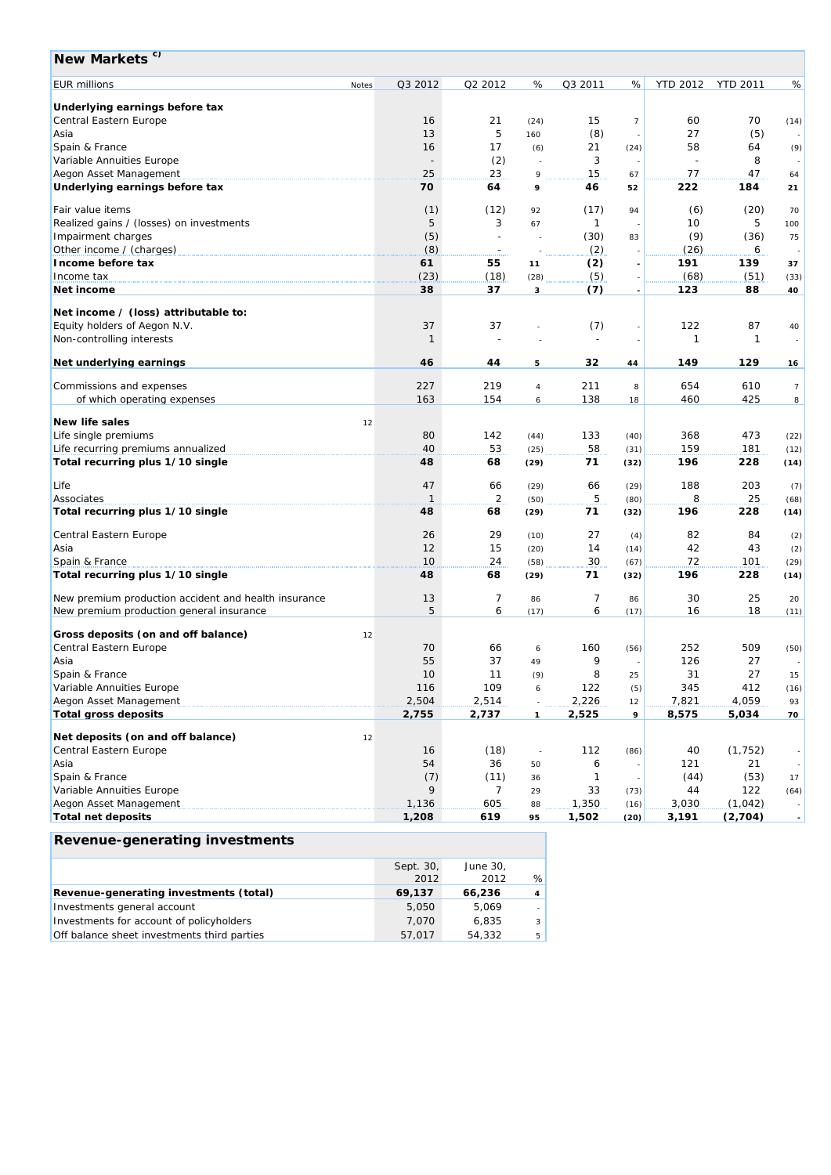| <b>EUR</b> millions<br>Q3 2011<br>%<br>Q3 2012<br>Q2 2012<br>%<br>%<br><b>YTD 2012</b><br><b>YTD 2011</b><br>Notes<br>Underlying earnings before tax<br>Central Eastern Europe<br>16<br>21<br>15<br>60<br>70<br>$\overline{7}$<br>(24)<br>(14)<br>5<br>(8)<br>27<br>Asia<br>13<br>(5)<br>160<br>17<br>Spain & France<br>16<br>21<br>58<br>64<br>(9)<br>(6)<br>(24)<br>(2)<br>3<br>8<br>Variable Annuities Europe<br>$\overline{a}$<br>15<br>Aegon Asset Management<br>25<br>23<br>77<br>47<br>9<br>67<br>64<br>70<br>222<br>Underlying earnings before tax<br>64<br>46<br>184<br>9<br>52<br>21<br>Fair value items<br>(1)<br>(12)<br>(17)<br>(20)<br>(6)<br>92<br>94<br>70<br>5<br>3<br>5<br>Realized gains / (losses) on investments<br>1<br>10<br>67<br>100<br>(5)<br>(30)<br>(9)<br>(36)<br>Impairment charges<br>$\overline{\phantom{a}}$<br>83<br>75<br>(8)<br>(2)<br>Other income / (charges)<br>(26)<br>6<br>Income before tax<br>61<br>55<br>(2)<br>191<br>139<br>37<br>11<br>(23)<br>(5)<br>(68)<br>Income tax<br>(18)<br>(51)<br>(28)<br>(33)<br>$\overline{\phantom{a}}$<br>38<br>37<br>(7)<br>123<br>88<br>Net income<br>3<br>40<br>Net income / (loss) attributable to:<br>Equity holders of Aegon N.V.<br>37<br>37<br>(7)<br>122<br>87<br>40<br>$\mathcal{I}$<br>Non-controlling interests<br>$\mathcal{I}$<br>$\mathcal{I}$<br>$\overline{\phantom{a}}$<br>129<br>Net underlying earnings<br>46<br>32<br>149<br>44<br>5<br>44<br>16<br>227<br>Commissions and expenses<br>219<br>211<br>654<br>610<br>$\overline{7}$<br>$\overline{4}$<br>8<br>163<br>138<br>460<br>425<br>of which operating expenses<br>154<br>18<br>6<br>8<br><b>New life sales</b><br>12<br>Life single premiums<br>80<br>142<br>133<br>368<br>473<br>(44)<br>(40)<br>(22)<br>40<br>53<br>58<br>159<br>181<br>Life recurring premiums annualized<br>(25)<br>(31)<br>(12)<br>Total recurring plus 1/10 single<br>48<br>68<br>71<br>196<br>228<br>(29)<br>(14)<br>(32)<br>Life<br>47<br>188<br>203<br>66<br>66<br>(29)<br>(29)<br>(7)<br>$\mathbf{1}$<br>$\overline{2}$<br>5<br>8<br>25<br>Associates<br>(50)<br>(80)<br>(68)<br>Total recurring plus 1/10 single<br>48<br>196<br>228<br>68<br>(29)<br>71<br>(14)<br>(32)<br>29<br>Central Eastern Europe<br>26<br>27<br>82<br>84<br>(10)<br>(4)<br>(2)<br>12<br>42<br>Asia<br>15<br>14<br>43<br>(20)<br>(14)<br>(2)<br>72<br>Spain & France<br>10<br>24<br>30<br>101<br>(58)<br>(67)<br>(29)<br>Total recurring plus 1/10 single<br>48<br>71<br>196<br>228<br>68<br>(29)<br>(14)<br>(32)<br>$\overline{7}$<br>7<br>New premium production accident and health insurance<br>13<br>30<br>25<br>86<br>20<br>86<br>5<br>6<br>New premium production general insurance<br>6<br>16<br>18<br>(17)<br>(17)<br>(11)<br>Gross deposits (on and off balance)<br>12<br>252<br>Central Eastern Europe<br>70<br>509<br>66<br>160<br>6<br>(56)<br>(50)<br>55<br>9<br>37<br>126<br>27<br>Asia<br>49<br>10<br>8<br>31<br>27<br>Spain & France<br>11<br>${\it 15}$<br>$(\mathcal{9})$<br>25<br>Variable Annuities Europe<br>116<br>109<br>122<br>412<br>(5)<br>345<br>6<br>(16)<br>Aegon Asset Management<br>2,504<br>2,514<br>2,226<br>7,821<br>4,059<br>12<br>93<br><b>Total gross deposits</b><br>2,737<br>2,525<br>8,575<br>5,034<br>2,755<br>9<br>70<br>1<br>Net deposits (on and off balance)<br>12<br>Central Eastern Europe<br>16<br>(18)<br>40<br>(1, 752)<br>112<br>(86)<br>$\ddot{\phantom{a}}$<br>54<br>Asia<br>36<br>6<br>121<br>21<br>50<br>Spain & France<br>(11)<br>(7)<br>(44)<br>(53)<br>1<br>36<br>17<br>122<br>Variable Annuities Europe<br>9<br>7<br>33<br>44<br>29<br>(73)<br>(64)<br>(1,042)<br>Aegon Asset Management<br>1,136<br>605<br>1,350<br>3,030<br>88<br>(16)<br><b>Total net deposits</b><br>1,208<br>619<br>1,502<br>3,191<br>(2,704)<br>95<br>(20)<br>$\overline{\phantom{a}}$ | New Markets <sup>c)</sup> |  |  |  |  |  |
|-----------------------------------------------------------------------------------------------------------------------------------------------------------------------------------------------------------------------------------------------------------------------------------------------------------------------------------------------------------------------------------------------------------------------------------------------------------------------------------------------------------------------------------------------------------------------------------------------------------------------------------------------------------------------------------------------------------------------------------------------------------------------------------------------------------------------------------------------------------------------------------------------------------------------------------------------------------------------------------------------------------------------------------------------------------------------------------------------------------------------------------------------------------------------------------------------------------------------------------------------------------------------------------------------------------------------------------------------------------------------------------------------------------------------------------------------------------------------------------------------------------------------------------------------------------------------------------------------------------------------------------------------------------------------------------------------------------------------------------------------------------------------------------------------------------------------------------------------------------------------------------------------------------------------------------------------------------------------------------------------------------------------------------------------------------------------------------------------------------------------------------------------------------------------------------------------------------------------------------------------------------------------------------------------------------------------------------------------------------------------------------------------------------------------------------------------------------------------------------------------------------------------------------------------------------------------------------------------------------------------------------------------------------------------------------------------------------------------------------------------------------------------------------------------------------------------------------------------------------------------------------------------------------------------------------------------------------------------------------------------------------------------------------------------------------------------------------------------------------------------------------------------------------------------------------------------------------------------------------------------------------------------------------------------------------------------------------------------------------------------------------------------------------------------------------------------------------------------------------------------------------------------------------------------------------------------------------------------------------------------------------------------------------------------------------------------------------------------------------------------------------------------------------------------------------------------------------|---------------------------|--|--|--|--|--|
|                                                                                                                                                                                                                                                                                                                                                                                                                                                                                                                                                                                                                                                                                                                                                                                                                                                                                                                                                                                                                                                                                                                                                                                                                                                                                                                                                                                                                                                                                                                                                                                                                                                                                                                                                                                                                                                                                                                                                                                                                                                                                                                                                                                                                                                                                                                                                                                                                                                                                                                                                                                                                                                                                                                                                                                                                                                                                                                                                                                                                                                                                                                                                                                                                                                                                                                                                                                                                                                                                                                                                                                                                                                                                                                                                                                                                                   |                           |  |  |  |  |  |
|                                                                                                                                                                                                                                                                                                                                                                                                                                                                                                                                                                                                                                                                                                                                                                                                                                                                                                                                                                                                                                                                                                                                                                                                                                                                                                                                                                                                                                                                                                                                                                                                                                                                                                                                                                                                                                                                                                                                                                                                                                                                                                                                                                                                                                                                                                                                                                                                                                                                                                                                                                                                                                                                                                                                                                                                                                                                                                                                                                                                                                                                                                                                                                                                                                                                                                                                                                                                                                                                                                                                                                                                                                                                                                                                                                                                                                   |                           |  |  |  |  |  |
|                                                                                                                                                                                                                                                                                                                                                                                                                                                                                                                                                                                                                                                                                                                                                                                                                                                                                                                                                                                                                                                                                                                                                                                                                                                                                                                                                                                                                                                                                                                                                                                                                                                                                                                                                                                                                                                                                                                                                                                                                                                                                                                                                                                                                                                                                                                                                                                                                                                                                                                                                                                                                                                                                                                                                                                                                                                                                                                                                                                                                                                                                                                                                                                                                                                                                                                                                                                                                                                                                                                                                                                                                                                                                                                                                                                                                                   |                           |  |  |  |  |  |
|                                                                                                                                                                                                                                                                                                                                                                                                                                                                                                                                                                                                                                                                                                                                                                                                                                                                                                                                                                                                                                                                                                                                                                                                                                                                                                                                                                                                                                                                                                                                                                                                                                                                                                                                                                                                                                                                                                                                                                                                                                                                                                                                                                                                                                                                                                                                                                                                                                                                                                                                                                                                                                                                                                                                                                                                                                                                                                                                                                                                                                                                                                                                                                                                                                                                                                                                                                                                                                                                                                                                                                                                                                                                                                                                                                                                                                   |                           |  |  |  |  |  |
|                                                                                                                                                                                                                                                                                                                                                                                                                                                                                                                                                                                                                                                                                                                                                                                                                                                                                                                                                                                                                                                                                                                                                                                                                                                                                                                                                                                                                                                                                                                                                                                                                                                                                                                                                                                                                                                                                                                                                                                                                                                                                                                                                                                                                                                                                                                                                                                                                                                                                                                                                                                                                                                                                                                                                                                                                                                                                                                                                                                                                                                                                                                                                                                                                                                                                                                                                                                                                                                                                                                                                                                                                                                                                                                                                                                                                                   |                           |  |  |  |  |  |
|                                                                                                                                                                                                                                                                                                                                                                                                                                                                                                                                                                                                                                                                                                                                                                                                                                                                                                                                                                                                                                                                                                                                                                                                                                                                                                                                                                                                                                                                                                                                                                                                                                                                                                                                                                                                                                                                                                                                                                                                                                                                                                                                                                                                                                                                                                                                                                                                                                                                                                                                                                                                                                                                                                                                                                                                                                                                                                                                                                                                                                                                                                                                                                                                                                                                                                                                                                                                                                                                                                                                                                                                                                                                                                                                                                                                                                   |                           |  |  |  |  |  |
|                                                                                                                                                                                                                                                                                                                                                                                                                                                                                                                                                                                                                                                                                                                                                                                                                                                                                                                                                                                                                                                                                                                                                                                                                                                                                                                                                                                                                                                                                                                                                                                                                                                                                                                                                                                                                                                                                                                                                                                                                                                                                                                                                                                                                                                                                                                                                                                                                                                                                                                                                                                                                                                                                                                                                                                                                                                                                                                                                                                                                                                                                                                                                                                                                                                                                                                                                                                                                                                                                                                                                                                                                                                                                                                                                                                                                                   |                           |  |  |  |  |  |
|                                                                                                                                                                                                                                                                                                                                                                                                                                                                                                                                                                                                                                                                                                                                                                                                                                                                                                                                                                                                                                                                                                                                                                                                                                                                                                                                                                                                                                                                                                                                                                                                                                                                                                                                                                                                                                                                                                                                                                                                                                                                                                                                                                                                                                                                                                                                                                                                                                                                                                                                                                                                                                                                                                                                                                                                                                                                                                                                                                                                                                                                                                                                                                                                                                                                                                                                                                                                                                                                                                                                                                                                                                                                                                                                                                                                                                   |                           |  |  |  |  |  |
|                                                                                                                                                                                                                                                                                                                                                                                                                                                                                                                                                                                                                                                                                                                                                                                                                                                                                                                                                                                                                                                                                                                                                                                                                                                                                                                                                                                                                                                                                                                                                                                                                                                                                                                                                                                                                                                                                                                                                                                                                                                                                                                                                                                                                                                                                                                                                                                                                                                                                                                                                                                                                                                                                                                                                                                                                                                                                                                                                                                                                                                                                                                                                                                                                                                                                                                                                                                                                                                                                                                                                                                                                                                                                                                                                                                                                                   |                           |  |  |  |  |  |
|                                                                                                                                                                                                                                                                                                                                                                                                                                                                                                                                                                                                                                                                                                                                                                                                                                                                                                                                                                                                                                                                                                                                                                                                                                                                                                                                                                                                                                                                                                                                                                                                                                                                                                                                                                                                                                                                                                                                                                                                                                                                                                                                                                                                                                                                                                                                                                                                                                                                                                                                                                                                                                                                                                                                                                                                                                                                                                                                                                                                                                                                                                                                                                                                                                                                                                                                                                                                                                                                                                                                                                                                                                                                                                                                                                                                                                   |                           |  |  |  |  |  |
|                                                                                                                                                                                                                                                                                                                                                                                                                                                                                                                                                                                                                                                                                                                                                                                                                                                                                                                                                                                                                                                                                                                                                                                                                                                                                                                                                                                                                                                                                                                                                                                                                                                                                                                                                                                                                                                                                                                                                                                                                                                                                                                                                                                                                                                                                                                                                                                                                                                                                                                                                                                                                                                                                                                                                                                                                                                                                                                                                                                                                                                                                                                                                                                                                                                                                                                                                                                                                                                                                                                                                                                                                                                                                                                                                                                                                                   |                           |  |  |  |  |  |
|                                                                                                                                                                                                                                                                                                                                                                                                                                                                                                                                                                                                                                                                                                                                                                                                                                                                                                                                                                                                                                                                                                                                                                                                                                                                                                                                                                                                                                                                                                                                                                                                                                                                                                                                                                                                                                                                                                                                                                                                                                                                                                                                                                                                                                                                                                                                                                                                                                                                                                                                                                                                                                                                                                                                                                                                                                                                                                                                                                                                                                                                                                                                                                                                                                                                                                                                                                                                                                                                                                                                                                                                                                                                                                                                                                                                                                   |                           |  |  |  |  |  |
|                                                                                                                                                                                                                                                                                                                                                                                                                                                                                                                                                                                                                                                                                                                                                                                                                                                                                                                                                                                                                                                                                                                                                                                                                                                                                                                                                                                                                                                                                                                                                                                                                                                                                                                                                                                                                                                                                                                                                                                                                                                                                                                                                                                                                                                                                                                                                                                                                                                                                                                                                                                                                                                                                                                                                                                                                                                                                                                                                                                                                                                                                                                                                                                                                                                                                                                                                                                                                                                                                                                                                                                                                                                                                                                                                                                                                                   |                           |  |  |  |  |  |
|                                                                                                                                                                                                                                                                                                                                                                                                                                                                                                                                                                                                                                                                                                                                                                                                                                                                                                                                                                                                                                                                                                                                                                                                                                                                                                                                                                                                                                                                                                                                                                                                                                                                                                                                                                                                                                                                                                                                                                                                                                                                                                                                                                                                                                                                                                                                                                                                                                                                                                                                                                                                                                                                                                                                                                                                                                                                                                                                                                                                                                                                                                                                                                                                                                                                                                                                                                                                                                                                                                                                                                                                                                                                                                                                                                                                                                   |                           |  |  |  |  |  |
|                                                                                                                                                                                                                                                                                                                                                                                                                                                                                                                                                                                                                                                                                                                                                                                                                                                                                                                                                                                                                                                                                                                                                                                                                                                                                                                                                                                                                                                                                                                                                                                                                                                                                                                                                                                                                                                                                                                                                                                                                                                                                                                                                                                                                                                                                                                                                                                                                                                                                                                                                                                                                                                                                                                                                                                                                                                                                                                                                                                                                                                                                                                                                                                                                                                                                                                                                                                                                                                                                                                                                                                                                                                                                                                                                                                                                                   |                           |  |  |  |  |  |
|                                                                                                                                                                                                                                                                                                                                                                                                                                                                                                                                                                                                                                                                                                                                                                                                                                                                                                                                                                                                                                                                                                                                                                                                                                                                                                                                                                                                                                                                                                                                                                                                                                                                                                                                                                                                                                                                                                                                                                                                                                                                                                                                                                                                                                                                                                                                                                                                                                                                                                                                                                                                                                                                                                                                                                                                                                                                                                                                                                                                                                                                                                                                                                                                                                                                                                                                                                                                                                                                                                                                                                                                                                                                                                                                                                                                                                   |                           |  |  |  |  |  |
|                                                                                                                                                                                                                                                                                                                                                                                                                                                                                                                                                                                                                                                                                                                                                                                                                                                                                                                                                                                                                                                                                                                                                                                                                                                                                                                                                                                                                                                                                                                                                                                                                                                                                                                                                                                                                                                                                                                                                                                                                                                                                                                                                                                                                                                                                                                                                                                                                                                                                                                                                                                                                                                                                                                                                                                                                                                                                                                                                                                                                                                                                                                                                                                                                                                                                                                                                                                                                                                                                                                                                                                                                                                                                                                                                                                                                                   |                           |  |  |  |  |  |
|                                                                                                                                                                                                                                                                                                                                                                                                                                                                                                                                                                                                                                                                                                                                                                                                                                                                                                                                                                                                                                                                                                                                                                                                                                                                                                                                                                                                                                                                                                                                                                                                                                                                                                                                                                                                                                                                                                                                                                                                                                                                                                                                                                                                                                                                                                                                                                                                                                                                                                                                                                                                                                                                                                                                                                                                                                                                                                                                                                                                                                                                                                                                                                                                                                                                                                                                                                                                                                                                                                                                                                                                                                                                                                                                                                                                                                   |                           |  |  |  |  |  |
|                                                                                                                                                                                                                                                                                                                                                                                                                                                                                                                                                                                                                                                                                                                                                                                                                                                                                                                                                                                                                                                                                                                                                                                                                                                                                                                                                                                                                                                                                                                                                                                                                                                                                                                                                                                                                                                                                                                                                                                                                                                                                                                                                                                                                                                                                                                                                                                                                                                                                                                                                                                                                                                                                                                                                                                                                                                                                                                                                                                                                                                                                                                                                                                                                                                                                                                                                                                                                                                                                                                                                                                                                                                                                                                                                                                                                                   |                           |  |  |  |  |  |
|                                                                                                                                                                                                                                                                                                                                                                                                                                                                                                                                                                                                                                                                                                                                                                                                                                                                                                                                                                                                                                                                                                                                                                                                                                                                                                                                                                                                                                                                                                                                                                                                                                                                                                                                                                                                                                                                                                                                                                                                                                                                                                                                                                                                                                                                                                                                                                                                                                                                                                                                                                                                                                                                                                                                                                                                                                                                                                                                                                                                                                                                                                                                                                                                                                                                                                                                                                                                                                                                                                                                                                                                                                                                                                                                                                                                                                   |                           |  |  |  |  |  |
|                                                                                                                                                                                                                                                                                                                                                                                                                                                                                                                                                                                                                                                                                                                                                                                                                                                                                                                                                                                                                                                                                                                                                                                                                                                                                                                                                                                                                                                                                                                                                                                                                                                                                                                                                                                                                                                                                                                                                                                                                                                                                                                                                                                                                                                                                                                                                                                                                                                                                                                                                                                                                                                                                                                                                                                                                                                                                                                                                                                                                                                                                                                                                                                                                                                                                                                                                                                                                                                                                                                                                                                                                                                                                                                                                                                                                                   |                           |  |  |  |  |  |
|                                                                                                                                                                                                                                                                                                                                                                                                                                                                                                                                                                                                                                                                                                                                                                                                                                                                                                                                                                                                                                                                                                                                                                                                                                                                                                                                                                                                                                                                                                                                                                                                                                                                                                                                                                                                                                                                                                                                                                                                                                                                                                                                                                                                                                                                                                                                                                                                                                                                                                                                                                                                                                                                                                                                                                                                                                                                                                                                                                                                                                                                                                                                                                                                                                                                                                                                                                                                                                                                                                                                                                                                                                                                                                                                                                                                                                   |                           |  |  |  |  |  |
|                                                                                                                                                                                                                                                                                                                                                                                                                                                                                                                                                                                                                                                                                                                                                                                                                                                                                                                                                                                                                                                                                                                                                                                                                                                                                                                                                                                                                                                                                                                                                                                                                                                                                                                                                                                                                                                                                                                                                                                                                                                                                                                                                                                                                                                                                                                                                                                                                                                                                                                                                                                                                                                                                                                                                                                                                                                                                                                                                                                                                                                                                                                                                                                                                                                                                                                                                                                                                                                                                                                                                                                                                                                                                                                                                                                                                                   |                           |  |  |  |  |  |
|                                                                                                                                                                                                                                                                                                                                                                                                                                                                                                                                                                                                                                                                                                                                                                                                                                                                                                                                                                                                                                                                                                                                                                                                                                                                                                                                                                                                                                                                                                                                                                                                                                                                                                                                                                                                                                                                                                                                                                                                                                                                                                                                                                                                                                                                                                                                                                                                                                                                                                                                                                                                                                                                                                                                                                                                                                                                                                                                                                                                                                                                                                                                                                                                                                                                                                                                                                                                                                                                                                                                                                                                                                                                                                                                                                                                                                   |                           |  |  |  |  |  |
|                                                                                                                                                                                                                                                                                                                                                                                                                                                                                                                                                                                                                                                                                                                                                                                                                                                                                                                                                                                                                                                                                                                                                                                                                                                                                                                                                                                                                                                                                                                                                                                                                                                                                                                                                                                                                                                                                                                                                                                                                                                                                                                                                                                                                                                                                                                                                                                                                                                                                                                                                                                                                                                                                                                                                                                                                                                                                                                                                                                                                                                                                                                                                                                                                                                                                                                                                                                                                                                                                                                                                                                                                                                                                                                                                                                                                                   |                           |  |  |  |  |  |
|                                                                                                                                                                                                                                                                                                                                                                                                                                                                                                                                                                                                                                                                                                                                                                                                                                                                                                                                                                                                                                                                                                                                                                                                                                                                                                                                                                                                                                                                                                                                                                                                                                                                                                                                                                                                                                                                                                                                                                                                                                                                                                                                                                                                                                                                                                                                                                                                                                                                                                                                                                                                                                                                                                                                                                                                                                                                                                                                                                                                                                                                                                                                                                                                                                                                                                                                                                                                                                                                                                                                                                                                                                                                                                                                                                                                                                   |                           |  |  |  |  |  |
|                                                                                                                                                                                                                                                                                                                                                                                                                                                                                                                                                                                                                                                                                                                                                                                                                                                                                                                                                                                                                                                                                                                                                                                                                                                                                                                                                                                                                                                                                                                                                                                                                                                                                                                                                                                                                                                                                                                                                                                                                                                                                                                                                                                                                                                                                                                                                                                                                                                                                                                                                                                                                                                                                                                                                                                                                                                                                                                                                                                                                                                                                                                                                                                                                                                                                                                                                                                                                                                                                                                                                                                                                                                                                                                                                                                                                                   |                           |  |  |  |  |  |
|                                                                                                                                                                                                                                                                                                                                                                                                                                                                                                                                                                                                                                                                                                                                                                                                                                                                                                                                                                                                                                                                                                                                                                                                                                                                                                                                                                                                                                                                                                                                                                                                                                                                                                                                                                                                                                                                                                                                                                                                                                                                                                                                                                                                                                                                                                                                                                                                                                                                                                                                                                                                                                                                                                                                                                                                                                                                                                                                                                                                                                                                                                                                                                                                                                                                                                                                                                                                                                                                                                                                                                                                                                                                                                                                                                                                                                   |                           |  |  |  |  |  |
|                                                                                                                                                                                                                                                                                                                                                                                                                                                                                                                                                                                                                                                                                                                                                                                                                                                                                                                                                                                                                                                                                                                                                                                                                                                                                                                                                                                                                                                                                                                                                                                                                                                                                                                                                                                                                                                                                                                                                                                                                                                                                                                                                                                                                                                                                                                                                                                                                                                                                                                                                                                                                                                                                                                                                                                                                                                                                                                                                                                                                                                                                                                                                                                                                                                                                                                                                                                                                                                                                                                                                                                                                                                                                                                                                                                                                                   |                           |  |  |  |  |  |
|                                                                                                                                                                                                                                                                                                                                                                                                                                                                                                                                                                                                                                                                                                                                                                                                                                                                                                                                                                                                                                                                                                                                                                                                                                                                                                                                                                                                                                                                                                                                                                                                                                                                                                                                                                                                                                                                                                                                                                                                                                                                                                                                                                                                                                                                                                                                                                                                                                                                                                                                                                                                                                                                                                                                                                                                                                                                                                                                                                                                                                                                                                                                                                                                                                                                                                                                                                                                                                                                                                                                                                                                                                                                                                                                                                                                                                   |                           |  |  |  |  |  |
|                                                                                                                                                                                                                                                                                                                                                                                                                                                                                                                                                                                                                                                                                                                                                                                                                                                                                                                                                                                                                                                                                                                                                                                                                                                                                                                                                                                                                                                                                                                                                                                                                                                                                                                                                                                                                                                                                                                                                                                                                                                                                                                                                                                                                                                                                                                                                                                                                                                                                                                                                                                                                                                                                                                                                                                                                                                                                                                                                                                                                                                                                                                                                                                                                                                                                                                                                                                                                                                                                                                                                                                                                                                                                                                                                                                                                                   |                           |  |  |  |  |  |
|                                                                                                                                                                                                                                                                                                                                                                                                                                                                                                                                                                                                                                                                                                                                                                                                                                                                                                                                                                                                                                                                                                                                                                                                                                                                                                                                                                                                                                                                                                                                                                                                                                                                                                                                                                                                                                                                                                                                                                                                                                                                                                                                                                                                                                                                                                                                                                                                                                                                                                                                                                                                                                                                                                                                                                                                                                                                                                                                                                                                                                                                                                                                                                                                                                                                                                                                                                                                                                                                                                                                                                                                                                                                                                                                                                                                                                   |                           |  |  |  |  |  |
|                                                                                                                                                                                                                                                                                                                                                                                                                                                                                                                                                                                                                                                                                                                                                                                                                                                                                                                                                                                                                                                                                                                                                                                                                                                                                                                                                                                                                                                                                                                                                                                                                                                                                                                                                                                                                                                                                                                                                                                                                                                                                                                                                                                                                                                                                                                                                                                                                                                                                                                                                                                                                                                                                                                                                                                                                                                                                                                                                                                                                                                                                                                                                                                                                                                                                                                                                                                                                                                                                                                                                                                                                                                                                                                                                                                                                                   |                           |  |  |  |  |  |
|                                                                                                                                                                                                                                                                                                                                                                                                                                                                                                                                                                                                                                                                                                                                                                                                                                                                                                                                                                                                                                                                                                                                                                                                                                                                                                                                                                                                                                                                                                                                                                                                                                                                                                                                                                                                                                                                                                                                                                                                                                                                                                                                                                                                                                                                                                                                                                                                                                                                                                                                                                                                                                                                                                                                                                                                                                                                                                                                                                                                                                                                                                                                                                                                                                                                                                                                                                                                                                                                                                                                                                                                                                                                                                                                                                                                                                   |                           |  |  |  |  |  |
|                                                                                                                                                                                                                                                                                                                                                                                                                                                                                                                                                                                                                                                                                                                                                                                                                                                                                                                                                                                                                                                                                                                                                                                                                                                                                                                                                                                                                                                                                                                                                                                                                                                                                                                                                                                                                                                                                                                                                                                                                                                                                                                                                                                                                                                                                                                                                                                                                                                                                                                                                                                                                                                                                                                                                                                                                                                                                                                                                                                                                                                                                                                                                                                                                                                                                                                                                                                                                                                                                                                                                                                                                                                                                                                                                                                                                                   |                           |  |  |  |  |  |
|                                                                                                                                                                                                                                                                                                                                                                                                                                                                                                                                                                                                                                                                                                                                                                                                                                                                                                                                                                                                                                                                                                                                                                                                                                                                                                                                                                                                                                                                                                                                                                                                                                                                                                                                                                                                                                                                                                                                                                                                                                                                                                                                                                                                                                                                                                                                                                                                                                                                                                                                                                                                                                                                                                                                                                                                                                                                                                                                                                                                                                                                                                                                                                                                                                                                                                                                                                                                                                                                                                                                                                                                                                                                                                                                                                                                                                   |                           |  |  |  |  |  |
|                                                                                                                                                                                                                                                                                                                                                                                                                                                                                                                                                                                                                                                                                                                                                                                                                                                                                                                                                                                                                                                                                                                                                                                                                                                                                                                                                                                                                                                                                                                                                                                                                                                                                                                                                                                                                                                                                                                                                                                                                                                                                                                                                                                                                                                                                                                                                                                                                                                                                                                                                                                                                                                                                                                                                                                                                                                                                                                                                                                                                                                                                                                                                                                                                                                                                                                                                                                                                                                                                                                                                                                                                                                                                                                                                                                                                                   |                           |  |  |  |  |  |
|                                                                                                                                                                                                                                                                                                                                                                                                                                                                                                                                                                                                                                                                                                                                                                                                                                                                                                                                                                                                                                                                                                                                                                                                                                                                                                                                                                                                                                                                                                                                                                                                                                                                                                                                                                                                                                                                                                                                                                                                                                                                                                                                                                                                                                                                                                                                                                                                                                                                                                                                                                                                                                                                                                                                                                                                                                                                                                                                                                                                                                                                                                                                                                                                                                                                                                                                                                                                                                                                                                                                                                                                                                                                                                                                                                                                                                   |                           |  |  |  |  |  |
|                                                                                                                                                                                                                                                                                                                                                                                                                                                                                                                                                                                                                                                                                                                                                                                                                                                                                                                                                                                                                                                                                                                                                                                                                                                                                                                                                                                                                                                                                                                                                                                                                                                                                                                                                                                                                                                                                                                                                                                                                                                                                                                                                                                                                                                                                                                                                                                                                                                                                                                                                                                                                                                                                                                                                                                                                                                                                                                                                                                                                                                                                                                                                                                                                                                                                                                                                                                                                                                                                                                                                                                                                                                                                                                                                                                                                                   |                           |  |  |  |  |  |
|                                                                                                                                                                                                                                                                                                                                                                                                                                                                                                                                                                                                                                                                                                                                                                                                                                                                                                                                                                                                                                                                                                                                                                                                                                                                                                                                                                                                                                                                                                                                                                                                                                                                                                                                                                                                                                                                                                                                                                                                                                                                                                                                                                                                                                                                                                                                                                                                                                                                                                                                                                                                                                                                                                                                                                                                                                                                                                                                                                                                                                                                                                                                                                                                                                                                                                                                                                                                                                                                                                                                                                                                                                                                                                                                                                                                                                   |                           |  |  |  |  |  |
|                                                                                                                                                                                                                                                                                                                                                                                                                                                                                                                                                                                                                                                                                                                                                                                                                                                                                                                                                                                                                                                                                                                                                                                                                                                                                                                                                                                                                                                                                                                                                                                                                                                                                                                                                                                                                                                                                                                                                                                                                                                                                                                                                                                                                                                                                                                                                                                                                                                                                                                                                                                                                                                                                                                                                                                                                                                                                                                                                                                                                                                                                                                                                                                                                                                                                                                                                                                                                                                                                                                                                                                                                                                                                                                                                                                                                                   |                           |  |  |  |  |  |
|                                                                                                                                                                                                                                                                                                                                                                                                                                                                                                                                                                                                                                                                                                                                                                                                                                                                                                                                                                                                                                                                                                                                                                                                                                                                                                                                                                                                                                                                                                                                                                                                                                                                                                                                                                                                                                                                                                                                                                                                                                                                                                                                                                                                                                                                                                                                                                                                                                                                                                                                                                                                                                                                                                                                                                                                                                                                                                                                                                                                                                                                                                                                                                                                                                                                                                                                                                                                                                                                                                                                                                                                                                                                                                                                                                                                                                   |                           |  |  |  |  |  |
|                                                                                                                                                                                                                                                                                                                                                                                                                                                                                                                                                                                                                                                                                                                                                                                                                                                                                                                                                                                                                                                                                                                                                                                                                                                                                                                                                                                                                                                                                                                                                                                                                                                                                                                                                                                                                                                                                                                                                                                                                                                                                                                                                                                                                                                                                                                                                                                                                                                                                                                                                                                                                                                                                                                                                                                                                                                                                                                                                                                                                                                                                                                                                                                                                                                                                                                                                                                                                                                                                                                                                                                                                                                                                                                                                                                                                                   |                           |  |  |  |  |  |
|                                                                                                                                                                                                                                                                                                                                                                                                                                                                                                                                                                                                                                                                                                                                                                                                                                                                                                                                                                                                                                                                                                                                                                                                                                                                                                                                                                                                                                                                                                                                                                                                                                                                                                                                                                                                                                                                                                                                                                                                                                                                                                                                                                                                                                                                                                                                                                                                                                                                                                                                                                                                                                                                                                                                                                                                                                                                                                                                                                                                                                                                                                                                                                                                                                                                                                                                                                                                                                                                                                                                                                                                                                                                                                                                                                                                                                   |                           |  |  |  |  |  |
|                                                                                                                                                                                                                                                                                                                                                                                                                                                                                                                                                                                                                                                                                                                                                                                                                                                                                                                                                                                                                                                                                                                                                                                                                                                                                                                                                                                                                                                                                                                                                                                                                                                                                                                                                                                                                                                                                                                                                                                                                                                                                                                                                                                                                                                                                                                                                                                                                                                                                                                                                                                                                                                                                                                                                                                                                                                                                                                                                                                                                                                                                                                                                                                                                                                                                                                                                                                                                                                                                                                                                                                                                                                                                                                                                                                                                                   |                           |  |  |  |  |  |
|                                                                                                                                                                                                                                                                                                                                                                                                                                                                                                                                                                                                                                                                                                                                                                                                                                                                                                                                                                                                                                                                                                                                                                                                                                                                                                                                                                                                                                                                                                                                                                                                                                                                                                                                                                                                                                                                                                                                                                                                                                                                                                                                                                                                                                                                                                                                                                                                                                                                                                                                                                                                                                                                                                                                                                                                                                                                                                                                                                                                                                                                                                                                                                                                                                                                                                                                                                                                                                                                                                                                                                                                                                                                                                                                                                                                                                   |                           |  |  |  |  |  |
|                                                                                                                                                                                                                                                                                                                                                                                                                                                                                                                                                                                                                                                                                                                                                                                                                                                                                                                                                                                                                                                                                                                                                                                                                                                                                                                                                                                                                                                                                                                                                                                                                                                                                                                                                                                                                                                                                                                                                                                                                                                                                                                                                                                                                                                                                                                                                                                                                                                                                                                                                                                                                                                                                                                                                                                                                                                                                                                                                                                                                                                                                                                                                                                                                                                                                                                                                                                                                                                                                                                                                                                                                                                                                                                                                                                                                                   |                           |  |  |  |  |  |
|                                                                                                                                                                                                                                                                                                                                                                                                                                                                                                                                                                                                                                                                                                                                                                                                                                                                                                                                                                                                                                                                                                                                                                                                                                                                                                                                                                                                                                                                                                                                                                                                                                                                                                                                                                                                                                                                                                                                                                                                                                                                                                                                                                                                                                                                                                                                                                                                                                                                                                                                                                                                                                                                                                                                                                                                                                                                                                                                                                                                                                                                                                                                                                                                                                                                                                                                                                                                                                                                                                                                                                                                                                                                                                                                                                                                                                   |                           |  |  |  |  |  |
|                                                                                                                                                                                                                                                                                                                                                                                                                                                                                                                                                                                                                                                                                                                                                                                                                                                                                                                                                                                                                                                                                                                                                                                                                                                                                                                                                                                                                                                                                                                                                                                                                                                                                                                                                                                                                                                                                                                                                                                                                                                                                                                                                                                                                                                                                                                                                                                                                                                                                                                                                                                                                                                                                                                                                                                                                                                                                                                                                                                                                                                                                                                                                                                                                                                                                                                                                                                                                                                                                                                                                                                                                                                                                                                                                                                                                                   |                           |  |  |  |  |  |
|                                                                                                                                                                                                                                                                                                                                                                                                                                                                                                                                                                                                                                                                                                                                                                                                                                                                                                                                                                                                                                                                                                                                                                                                                                                                                                                                                                                                                                                                                                                                                                                                                                                                                                                                                                                                                                                                                                                                                                                                                                                                                                                                                                                                                                                                                                                                                                                                                                                                                                                                                                                                                                                                                                                                                                                                                                                                                                                                                                                                                                                                                                                                                                                                                                                                                                                                                                                                                                                                                                                                                                                                                                                                                                                                                                                                                                   |                           |  |  |  |  |  |
|                                                                                                                                                                                                                                                                                                                                                                                                                                                                                                                                                                                                                                                                                                                                                                                                                                                                                                                                                                                                                                                                                                                                                                                                                                                                                                                                                                                                                                                                                                                                                                                                                                                                                                                                                                                                                                                                                                                                                                                                                                                                                                                                                                                                                                                                                                                                                                                                                                                                                                                                                                                                                                                                                                                                                                                                                                                                                                                                                                                                                                                                                                                                                                                                                                                                                                                                                                                                                                                                                                                                                                                                                                                                                                                                                                                                                                   |                           |  |  |  |  |  |
|                                                                                                                                                                                                                                                                                                                                                                                                                                                                                                                                                                                                                                                                                                                                                                                                                                                                                                                                                                                                                                                                                                                                                                                                                                                                                                                                                                                                                                                                                                                                                                                                                                                                                                                                                                                                                                                                                                                                                                                                                                                                                                                                                                                                                                                                                                                                                                                                                                                                                                                                                                                                                                                                                                                                                                                                                                                                                                                                                                                                                                                                                                                                                                                                                                                                                                                                                                                                                                                                                                                                                                                                                                                                                                                                                                                                                                   |                           |  |  |  |  |  |
|                                                                                                                                                                                                                                                                                                                                                                                                                                                                                                                                                                                                                                                                                                                                                                                                                                                                                                                                                                                                                                                                                                                                                                                                                                                                                                                                                                                                                                                                                                                                                                                                                                                                                                                                                                                                                                                                                                                                                                                                                                                                                                                                                                                                                                                                                                                                                                                                                                                                                                                                                                                                                                                                                                                                                                                                                                                                                                                                                                                                                                                                                                                                                                                                                                                                                                                                                                                                                                                                                                                                                                                                                                                                                                                                                                                                                                   |                           |  |  |  |  |  |

|                                             | Sept. 30, | June 30, |                |
|---------------------------------------------|-----------|----------|----------------|
|                                             | 2012      | 2012     | %              |
| Revenue-generating investments (total)      | 69,137    | 66,236   | $\overline{4}$ |
| Investments general account                 | 5.050     | 5.069    |                |
| Investments for account of policyholders    | 7.070     | 6.835    | $\mathcal{E}$  |
| Off balance sheet investments third parties | 57.017    | 54,332   | 5              |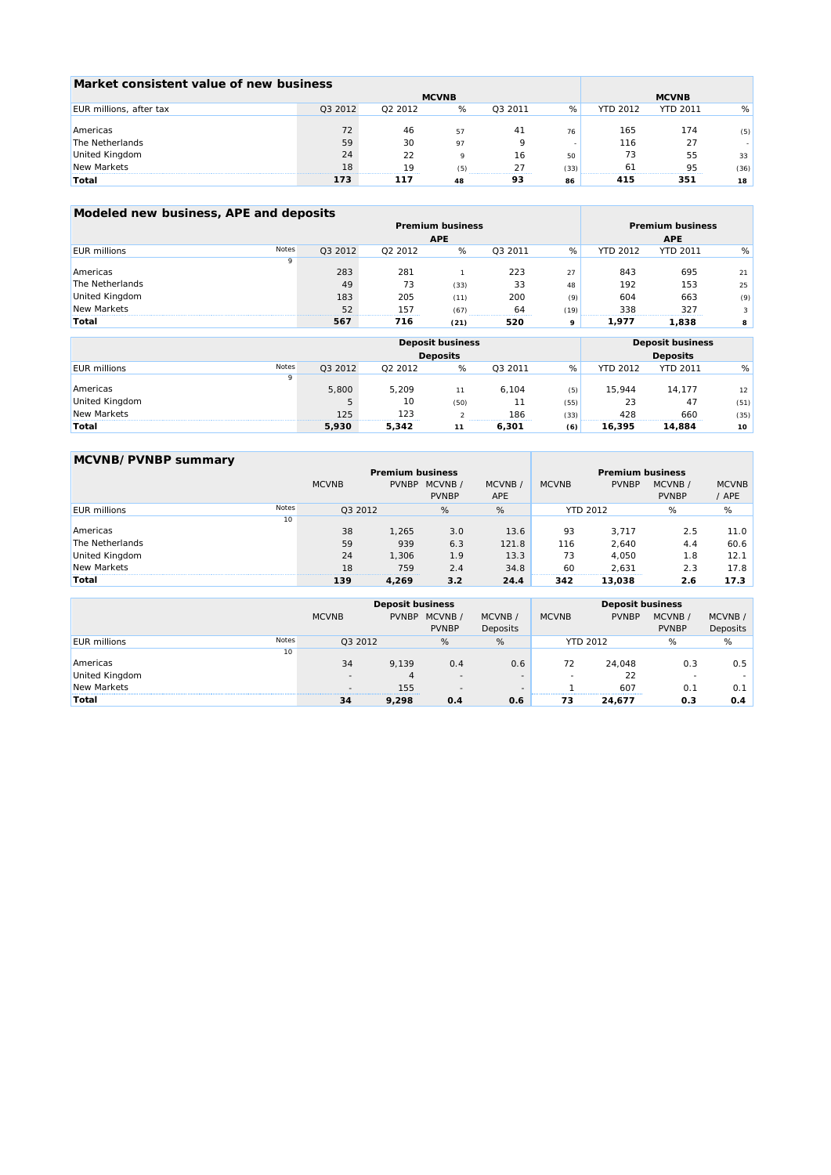| Market consistent value of new business |         |                     |              |         |      |                 |                 |      |
|-----------------------------------------|---------|---------------------|--------------|---------|------|-----------------|-----------------|------|
|                                         |         | <b>MCVNB</b>        | <b>MCVNB</b> |         |      |                 |                 |      |
| EUR millions, after tax                 | Q3 2012 | Q <sub>2</sub> 2012 | %            | Q3 2011 | %    | <b>YTD 2012</b> | <b>YTD 2011</b> | %    |
|                                         |         |                     |              |         |      |                 |                 |      |
| Americas                                | 72      | 46                  | 57           | 41      | 76   | 165             | 174             | (5)  |
| The Netherlands                         | 59      | 30                  | 97           |         |      | 116             | 27              |      |
| United Kingdom                          | 24      | 22                  |              | 16      | 50   | 73              | 55              | 33   |
| New Markets                             | 18      | 1 Q                 | (5)          |         | (33) | 6 <sup>7</sup>  | 95              | (36) |
| Total                                   | 173     | 117                 | 48           | 93      | 86   | 415             | 351             | 18   |

| Modeled new business, APE and deposits |       |         |                         |                         |         |      |                 |                 |     |
|----------------------------------------|-------|---------|-------------------------|-------------------------|---------|------|-----------------|-----------------|-----|
|                                        |       |         | <b>Premium business</b> | <b>Premium business</b> |         |      |                 |                 |     |
|                                        |       |         |                         | <b>APE</b>              |         |      | <b>APE</b>      |                 |     |
| <b>EUR</b> millions                    | Notes | Q3 2012 | Q <sub>2</sub> 2012     | %                       | Q3 2011 | %    | <b>YTD 2012</b> | <b>YTD 2011</b> | %   |
|                                        |       |         |                         |                         |         |      |                 |                 |     |
| Americas                               |       | 283     | 281                     |                         | 223     | 27   | 843             | 695             | 21  |
| The Netherlands                        |       | 49      | 73                      | (33)                    | 33      | 48   | 192             | 153             | 25  |
| <b>United Kingdom</b>                  |       | 183     | 205                     | (11)                    | 200     | (9)  | 604             | 663             | (9) |
| New Markets                            |       | 52      | 157                     | (67)                    | 64      | (19) | 338             | 327             |     |
| Total                                  |       | 567     | 716                     | (21)                    | 520     | ۰    | 1.977           | 1.838           | 8   |

|                     |                 |         | <b>Deposit business</b> | <b>Deposit business</b> |         |      |                 |                 |      |  |
|---------------------|-----------------|---------|-------------------------|-------------------------|---------|------|-----------------|-----------------|------|--|
|                     | <b>Deposits</b> |         |                         |                         |         |      | <b>Deposits</b> |                 |      |  |
| <b>EUR</b> millions | Notes           | Q3 2012 | Q2 2012                 | %                       | Q3 2011 | %    | <b>YTD 2012</b> | <b>YTD 2011</b> | %    |  |
|                     | ۰               |         |                         |                         |         |      |                 |                 |      |  |
| Americas            |                 | 5.800   | 5.209                   | 11                      | 6.104   | (5)  | 15.944          | 14.177          | 12   |  |
| United Kingdom      |                 | b       | 10                      | (50)                    |         | (55) | 23              | 47              | (51) |  |
| <b>New Markets</b>  |                 | 125     | 123                     | $\sim$                  | 186     | (33) | 428             | 660             | (35) |  |
| Total               |                 | 5,930   | 5,342                   | 11                      | 6,301   | (6)  | 16,395          | 14,884          | 10   |  |

| MCVNB/PVNBP summary   |       |              |              |                         |                       |                         |              |                         |                       |  |
|-----------------------|-------|--------------|--------------|-------------------------|-----------------------|-------------------------|--------------|-------------------------|-----------------------|--|
|                       |       |              |              | <b>Premium business</b> |                       | <b>Premium business</b> |              |                         |                       |  |
|                       |       | <b>MCVNB</b> | <b>PVNBP</b> | MCVNB /<br><b>PVNBP</b> | MCVNB /<br><b>APE</b> | <b>MCVNB</b>            | <b>PVNBP</b> | MCVNB /<br><b>PVNBP</b> | <b>MCVNB</b><br>/ APE |  |
| <b>EUR millions</b>   | Notes | 03 2012      |              | %                       | %                     | <b>YTD 2012</b>         |              | %                       | %                     |  |
|                       | 10    |              |              |                         |                       |                         |              |                         |                       |  |
| Americas              |       | 38           | 1.265        | 3.0                     | 13.6                  | 93                      | 3.717        | 2.5                     | 11.0                  |  |
| The Netherlands       |       | 59           | 939          | 6.3                     | 121.8                 | 116                     | 2.640        | 4.4                     | 60.6                  |  |
| <b>United Kingdom</b> |       | 24           | 1.306        | 1.9                     | 13.3                  | 73                      | 4.050        | 1.8                     | 12.1                  |  |
| New Markets           |       | 18           | 759          | 2.4                     | 34.8                  | 60                      | 2.631        | 2.3                     | 17.8                  |  |
| Total                 |       | 139          | 4.269        | 3.2                     | 24.4                  | 342                     | 13,038       | 2.6                     | 17.3                  |  |

|                     | <b>Deposit business</b> |              |              |                         |                          | <b>Deposit business</b> |                 |                         |                     |  |
|---------------------|-------------------------|--------------|--------------|-------------------------|--------------------------|-------------------------|-----------------|-------------------------|---------------------|--|
|                     |                         | <b>MCVNB</b> | <b>PVNBP</b> | MCVNB /<br><b>PVNBP</b> | MCVNB /<br>Deposits      | <b>MCVNB</b>            | <b>PVNBP</b>    | MCVNB /<br><b>PVNBP</b> | MCVNB /<br>Deposits |  |
| <b>EUR</b> millions | Notes                   | Q3 2012      |              | %                       | %                        |                         | <b>YTD 2012</b> | %                       | %                   |  |
|                     | 10                      |              |              |                         |                          |                         |                 |                         |                     |  |
| Americas            |                         | 34           | 9.139        | 0.4                     | 0.6                      | 72                      | 24.048          | 0.3                     | 0.5                 |  |
| United Kingdom      |                         |              |              |                         |                          |                         | 22              |                         |                     |  |
| New Markets         |                         |              | 155          |                         | $\overline{\phantom{a}}$ |                         | 607             | 0.1                     | 0.1                 |  |
| Total               |                         | 34           | 9.298        | 0.4                     | 0.6                      | 73                      | 24.677          | 0.3                     | 0.4                 |  |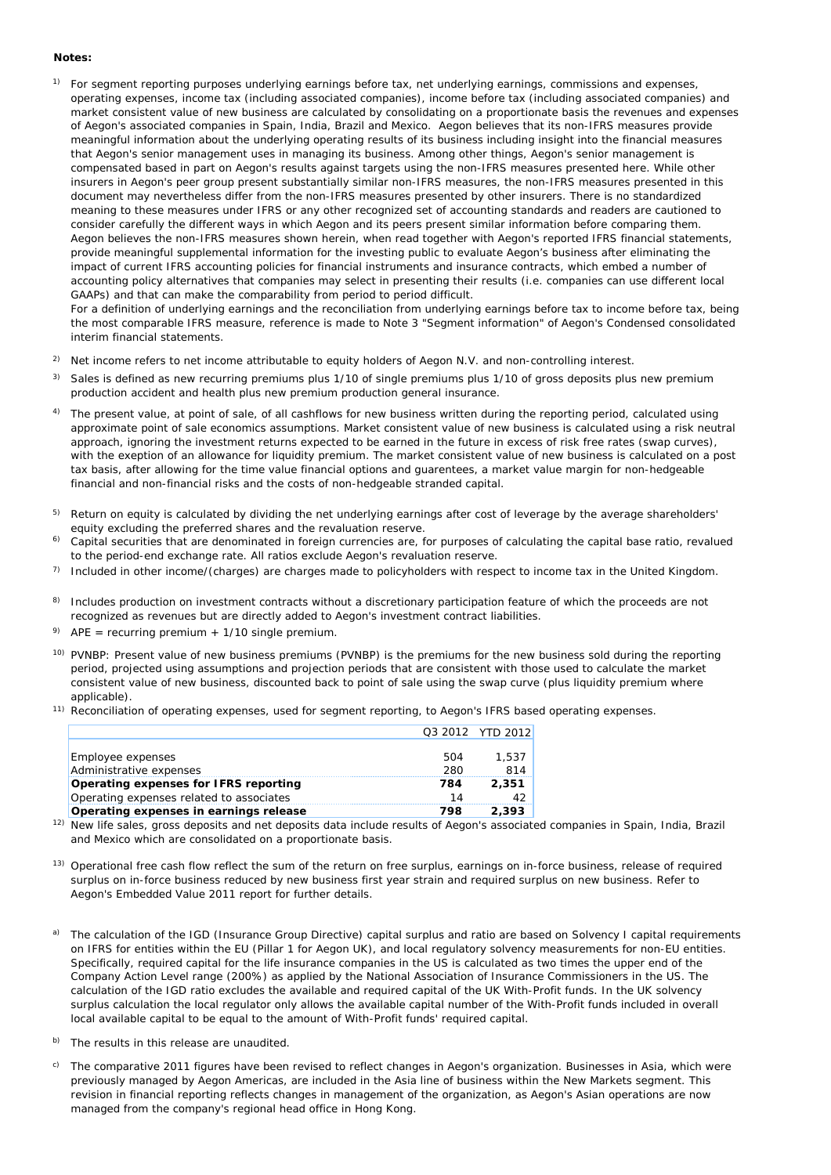#### **Notes:**

1) For segment reporting purposes underlying earnings before tax, net underlying earnings, commissions and expenses, operating expenses, income tax (including associated companies), income before tax (including associated companies) and market consistent value of new business are calculated by consolidating on a proportionate basis the revenues and expenses of Aegon's associated companies in Spain, India, Brazil and Mexico. Aegon believes that its non-IFRS measures provide meaningful information about the underlying operating results of its business including insight into the financial measures that Aegon's senior management uses in managing its business. Among other things, Aegon's senior management is compensated based in part on Aegon's results against targets using the non-IFRS measures presented here. While other insurers in Aegon's peer group present substantially similar non-IFRS measures, the non-IFRS measures presented in this document may nevertheless differ from the non-IFRS measures presented by other insurers. There is no standardized meaning to these measures under IFRS or any other recognized set of accounting standards and readers are cautioned to consider carefully the different ways in which Aegon and its peers present similar information before comparing them. Aegon believes the non-IFRS measures shown herein, when read together with Aegon's reported IFRS financial statements, provide meaningful supplemental information for the investing public to evaluate Aegon's business after eliminating the impact of current IFRS accounting policies for financial instruments and insurance contracts, which embed a number of accounting policy alternatives that companies may select in presenting their results (i.e. companies can use different local GAAPs) and that can make the comparability from period to period difficult.

For a definition of underlying earnings and the reconciliation from underlying earnings before tax to income before tax, being the most comparable IFRS measure, reference is made to Note 3 "Segment information" of Aegon's Condensed consolidated interim financial statements.

- 2) Net income refers to net income attributable to equity holders of Aegon N.V. and non-controlling interest.
- 3) Sales is defined as new recurring premiums plus 1/10 of single premiums plus 1/10 of gross deposits plus new premium production accident and health plus new premium production general insurance.
- <sup>4)</sup> The present value, at point of sale, of all cashflows for new business written during the reporting period, calculated using approximate point of sale economics assumptions. Market consistent value of new business is calculated using a risk neutral approach, ignoring the investment returns expected to be earned in the future in excess of risk free rates (swap curves), with the exeption of an allowance for liquidity premium. The market consistent value of new business is calculated on a post tax basis, after allowing for the time value financial options and guarentees, a market value margin for non-hedgeable financial and non-financial risks and the costs of non-hedgeable stranded capital.
- <sup>5)</sup> Return on equity is calculated by dividing the net underlying earnings after cost of leverage by the average shareholders' equity excluding the preferred shares and the revaluation reserve.
- 6) Capital securities that are denominated in foreign currencies are, for purposes of calculating the capital base ratio, revalued to the period-end exchange rate. All ratios exclude Aegon's revaluation reserve.
- $7)$  Included in other income/(charges) are charges made to policyholders with respect to income tax in the United Kingdom.
- <sup>8)</sup> Includes production on investment contracts without a discretionary participation feature of which the proceeds are not recognized as revenues but are directly added to Aegon's investment contract liabilities.
- 9)  $APE = recurring premium + 1/10 single premium$ .
- <sup>10)</sup> PVNBP: Present value of new business premiums (PVNBP) is the premiums for the new business sold during the reporting period, projected using assumptions and projection periods that are consistent with those used to calculate the market consistent value of new business, discounted back to point of sale using the swap curve (plus liquidity premium where applicable).
- <sup>11)</sup> Reconciliation of operating expenses, used for segment reporting, to Aegon's IFRS based operating expenses.

|                                              |     | Q3 2012 YTD 2012 |
|----------------------------------------------|-----|------------------|
|                                              |     |                  |
| Employee expenses                            | 504 | 1.537            |
| Administrative expenses                      | 280 | 814              |
| <b>Operating expenses for IFRS reporting</b> | 784 | 2,351            |
| Operating expenses related to associates     | 14  |                  |
| Operating expenses in earnings release       | 798 | 2,393            |

- <sup>12)</sup> New life sales, gross deposits and net deposits data include results of Aegon's associated companies in Spain, India, Brazil and Mexico which are consolidated on a proportionate basis.
- <sup>13)</sup> Operational free cash flow reflect the sum of the return on free surplus, earnings on in-force business, release of required surplus on in-force business reduced by new business first year strain and required surplus on new business. Refer to Aegon's Embedded Value 2011 report for further details.
- <sup>a)</sup> The calculation of the IGD (Insurance Group Directive) capital surplus and ratio are based on Solvency I capital requirements on IFRS for entities within the EU (Pillar 1 for Aegon UK), and local regulatory solvency measurements for non-EU entities. Specifically, required capital for the life insurance companies in the US is calculated as two times the upper end of the Company Action Level range (200%) as applied by the National Association of Insurance Commissioners in the US. The calculation of the IGD ratio excludes the available and required capital of the UK With-Profit funds. In the UK solvency surplus calculation the local regulator only allows the available capital number of the With-Profit funds included in overall local available capital to be equal to the amount of With-Profit funds' required capital.
- b) The results in this release are unaudited.
- c) The comparative 2011 figures have been revised to reflect changes in Aegon's organization. Businesses in Asia, which were previously managed by Aegon Americas, are included in the Asia line of business within the New Markets segment. This revision in financial reporting reflects changes in management of the organization, as Aegon's Asian operations are now managed from the company's regional head office in Hong Kong.